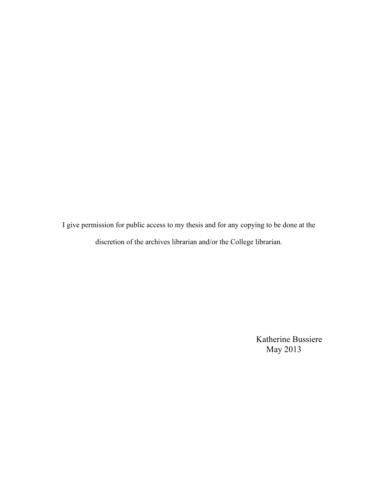I give permission for public access to my thesis and for any copying to be done at the discretion of the archives librarian and/or the College librarian.

> Katherine Bussiere May 2013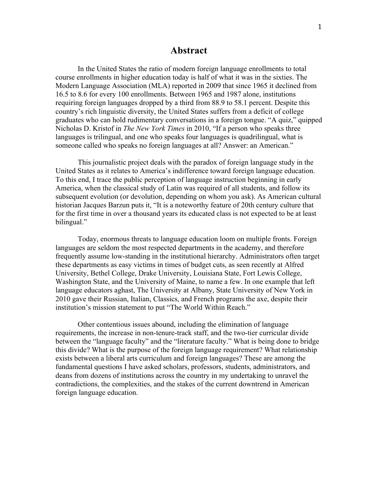#### **Abstract**

In the United States the ratio of modern foreign language enrollments to total course enrollments in higher education today is half of what it was in the sixties. The Modern Language Association (MLA) reported in 2009 that since 1965 it declined from 16.5 to 8.6 for every 100 enrollments. Between 1965 and 1987 alone, institutions requiring foreign languages dropped by a third from 88.9 to 58.1 percent. Despite this country's rich linguistic diversity, the United States suffers from a deficit of college graduates who can hold rudimentary conversations in a foreign tongue. "A quiz," quipped Nicholas D. Kristof in *The New York Times* in 2010, "If a person who speaks three languages is trilingual, and one who speaks four languages is quadrilingual, what is someone called who speaks no foreign languages at all? Answer: an American."

This journalistic project deals with the paradox of foreign language study in the United States as it relates to America's indifference toward foreign language education. To this end, I trace the public perception of language instruction beginning in early America, when the classical study of Latin was required of all students, and follow its subsequent evolution (or devolution, depending on whom you ask). As American cultural historian Jacques Barzun puts it, "It is a noteworthy feature of 20th century culture that for the first time in over a thousand years its educated class is not expected to be at least bilingual."

Today, enormous threats to language education loom on multiple fronts. Foreign languages are seldom the most respected departments in the academy, and therefore frequently assume low-standing in the institutional hierarchy. Administrators often target these departments as easy victims in times of budget cuts, as seen recently at Alfred University, Bethel College, Drake University, Louisiana State, Fort Lewis College, Washington State, and the University of Maine, to name a few. In one example that left language educators aghast, The University at Albany, State University of New York in 2010 gave their Russian, Italian, Classics, and French programs the axe, despite their institution's mission statement to put "The World Within Reach."

Other contentious issues abound, including the elimination of language requirements, the increase in non-tenure-track staff, and the two-tier curricular divide between the "language faculty" and the "literature faculty." What is being done to bridge this divide? What is the purpose of the foreign language requirement? What relationship exists between a liberal arts curriculum and foreign languages? These are among the fundamental questions I have asked scholars, professors, students, administrators, and deans from dozens of institutions across the country in my undertaking to unravel the contradictions, the complexities, and the stakes of the current downtrend in American foreign language education.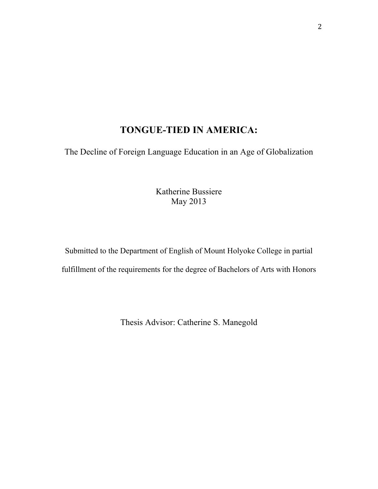# **TONGUE-TIED IN AMERICA:**

The Decline of Foreign Language Education in an Age of Globalization

Katherine Bussiere May 2013

Submitted to the Department of English of Mount Holyoke College in partial fulfillment of the requirements for the degree of Bachelors of Arts with Honors

Thesis Advisor: Catherine S. Manegold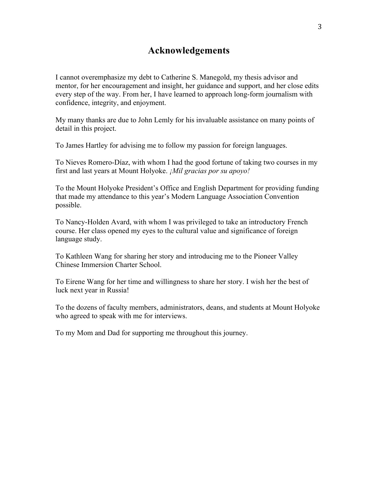## **Acknowledgements**

I cannot overemphasize my debt to Catherine S. Manegold, my thesis advisor and mentor, for her encouragement and insight, her guidance and support, and her close edits every step of the way. From her, I have learned to approach long-form journalism with confidence, integrity, and enjoyment.

My many thanks are due to John Lemly for his invaluable assistance on many points of detail in this project.

To James Hartley for advising me to follow my passion for foreign languages.

To Nieves Romero-Díaz, with whom I had the good fortune of taking two courses in my first and last years at Mount Holyoke. *¡Mil gracias por su apoyo!*

To the Mount Holyoke President's Office and English Department for providing funding that made my attendance to this year's Modern Language Association Convention possible.

To Nancy-Holden Avard, with whom I was privileged to take an introductory French course. Her class opened my eyes to the cultural value and significance of foreign language study.

To Kathleen Wang for sharing her story and introducing me to the Pioneer Valley Chinese Immersion Charter School.

To Eirene Wang for her time and willingness to share her story. I wish her the best of luck next year in Russia!

To the dozens of faculty members, administrators, deans, and students at Mount Holyoke who agreed to speak with me for interviews.

To my Mom and Dad for supporting me throughout this journey.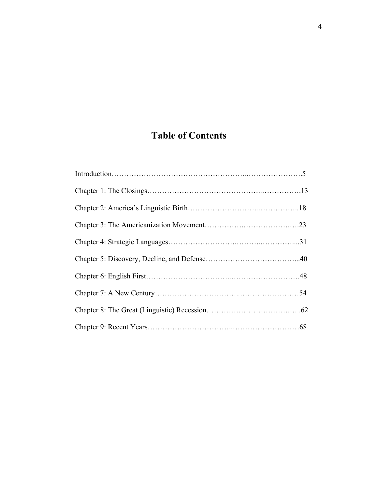# **Table of Contents**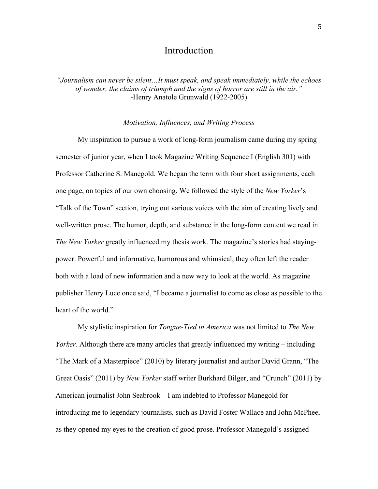## Introduction

*"Journalism can never be silent…It must speak, and speak immediately, while the echoes of wonder, the claims of triumph and the signs of horror are still in the air."* -Henry Anatole Grunwald (1922-2005)

#### *Motivation, Influences, and Writing Process*

My inspiration to pursue a work of long-form journalism came during my spring semester of junior year, when I took Magazine Writing Sequence I (English 301) with Professor Catherine S. Manegold. We began the term with four short assignments, each one page, on topics of our own choosing. We followed the style of the *New Yorker*'s "Talk of the Town" section, trying out various voices with the aim of creating lively and well-written prose. The humor, depth, and substance in the long-form content we read in *The New Yorker* greatly influenced my thesis work. The magazine's stories had stayingpower. Powerful and informative, humorous and whimsical, they often left the reader both with a load of new information and a new way to look at the world. As magazine publisher Henry Luce once said, "I became a journalist to come as close as possible to the heart of the world."

My stylistic inspiration for *Tongue-Tied in America* was not limited to *The New Yorker.* Although there are many articles that greatly influenced my writing – including "The Mark of a Masterpiece" (2010) by literary journalist and author David Grann, "The Great Oasis" (2011) by *New Yorker* staff writer Burkhard Bilger, and "Crunch" (2011) by American journalist John Seabrook – I am indebted to Professor Manegold for introducing me to legendary journalists, such as David Foster Wallace and John McPhee, as they opened my eyes to the creation of good prose. Professor Manegold's assigned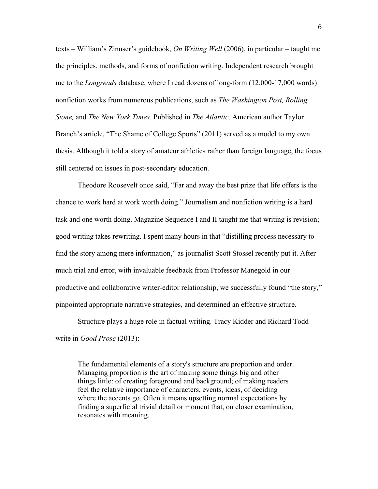texts – William's Zinnser's guidebook, *On Writing Well* (2006), in particular – taught me the principles, methods, and forms of nonfiction writing. Independent research brought me to the *Longreads* database, where I read dozens of long-form (12,000-17,000 words) nonfiction works from numerous publications, such as *The Washington Post, Rolling Stone,* and *The New York Times.* Published in *The Atlantic,* American author Taylor Branch's article, "The Shame of College Sports" (2011) served as a model to my own thesis. Although it told a story of amateur athletics rather than foreign language, the focus still centered on issues in post-secondary education.

Theodore Roosevelt once said, "Far and away the best prize that life offers is the chance to work hard at work worth doing." Journalism and nonfiction writing is a hard task and one worth doing. Magazine Sequence I and II taught me that writing is revision; good writing takes rewriting. I spent many hours in that "distilling process necessary to find the story among mere information," as journalist Scott Stossel recently put it. After much trial and error, with invaluable feedback from Professor Manegold in our productive and collaborative writer-editor relationship, we successfully found "the story," pinpointed appropriate narrative strategies, and determined an effective structure.

Structure plays a huge role in factual writing. Tracy Kidder and Richard Todd write in *Good Prose* (2013):

The fundamental elements of a story's structure are proportion and order. Managing proportion is the art of making some things big and other things little: of creating foreground and background; of making readers feel the relative importance of characters, events, ideas, of deciding where the accents go. Often it means upsetting normal expectations by finding a superficial trivial detail or moment that, on closer examination, resonates with meaning.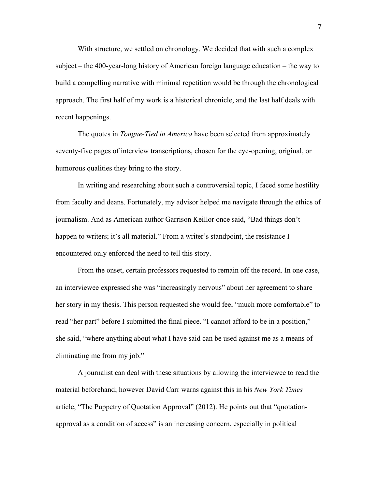With structure, we settled on chronology. We decided that with such a complex subject – the 400-year-long history of American foreign language education – the way to build a compelling narrative with minimal repetition would be through the chronological approach. The first half of my work is a historical chronicle, and the last half deals with recent happenings.

The quotes in *Tongue-Tied in America* have been selected from approximately seventy-five pages of interview transcriptions, chosen for the eye-opening, original, or humorous qualities they bring to the story.

In writing and researching about such a controversial topic, I faced some hostility from faculty and deans. Fortunately, my advisor helped me navigate through the ethics of journalism. And as American author Garrison Keillor once said, "Bad things don't happen to writers; it's all material." From a writer's standpoint, the resistance I encountered only enforced the need to tell this story.

From the onset, certain professors requested to remain off the record. In one case, an interviewee expressed she was "increasingly nervous" about her agreement to share her story in my thesis. This person requested she would feel "much more comfortable" to read "her part" before I submitted the final piece. "I cannot afford to be in a position," she said, "where anything about what I have said can be used against me as a means of eliminating me from my job."

A journalist can deal with these situations by allowing the interviewee to read the material beforehand; however David Carr warns against this in his *New York Times*  article, "The Puppetry of Quotation Approval" (2012). He points out that "quotationapproval as a condition of access" is an increasing concern, especially in political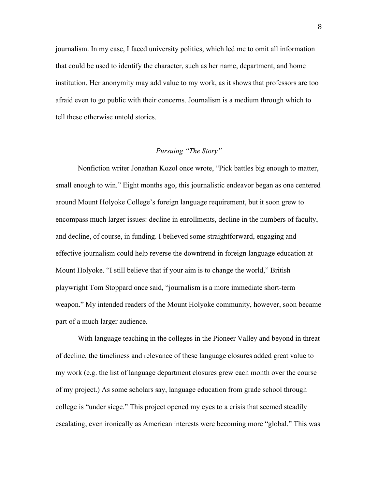journalism. In my case, I faced university politics, which led me to omit all information that could be used to identify the character, such as her name, department, and home institution. Her anonymity may add value to my work, as it shows that professors are too afraid even to go public with their concerns. Journalism is a medium through which to tell these otherwise untold stories.

#### *Pursuing "The Story"*

Nonfiction writer Jonathan Kozol once wrote, "Pick battles big enough to matter, small enough to win." Eight months ago, this journalistic endeavor began as one centered around Mount Holyoke College's foreign language requirement, but it soon grew to encompass much larger issues: decline in enrollments, decline in the numbers of faculty, and decline, of course, in funding. I believed some straightforward, engaging and effective journalism could help reverse the downtrend in foreign language education at Mount Holyoke. "I still believe that if your aim is to change the world," British playwright Tom Stoppard once said, "journalism is a more immediate short-term weapon." My intended readers of the Mount Holyoke community, however, soon became part of a much larger audience.

With language teaching in the colleges in the Pioneer Valley and beyond in threat of decline, the timeliness and relevance of these language closures added great value to my work (e.g. the list of language department closures grew each month over the course of my project.) As some scholars say, language education from grade school through college is "under siege." This project opened my eyes to a crisis that seemed steadily escalating, even ironically as American interests were becoming more "global." This was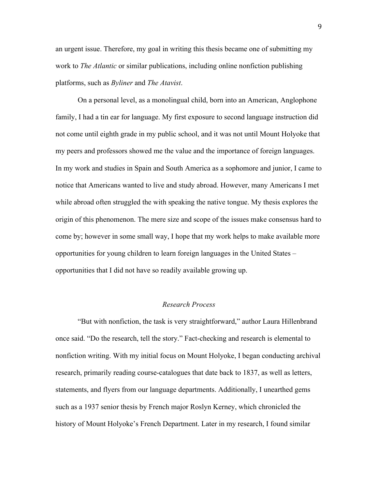an urgent issue. Therefore, my goal in writing this thesis became one of submitting my work to *The Atlantic* or similar publications, including online nonfiction publishing platforms, such as *Byliner* and *The Atavist*.

On a personal level, as a monolingual child, born into an American, Anglophone family, I had a tin ear for language. My first exposure to second language instruction did not come until eighth grade in my public school, and it was not until Mount Holyoke that my peers and professors showed me the value and the importance of foreign languages. In my work and studies in Spain and South America as a sophomore and junior, I came to notice that Americans wanted to live and study abroad. However, many Americans I met while abroad often struggled the with speaking the native tongue. My thesis explores the origin of this phenomenon. The mere size and scope of the issues make consensus hard to come by; however in some small way, I hope that my work helps to make available more opportunities for young children to learn foreign languages in the United States – opportunities that I did not have so readily available growing up.

#### *Research Process*

"But with nonfiction, the task is very straightforward," author Laura Hillenbrand once said. "Do the research, tell the story." Fact-checking and research is elemental to nonfiction writing. With my initial focus on Mount Holyoke, I began conducting archival research, primarily reading course-catalogues that date back to 1837, as well as letters, statements, and flyers from our language departments. Additionally, I unearthed gems such as a 1937 senior thesis by French major Roslyn Kerney, which chronicled the history of Mount Holyoke's French Department. Later in my research, I found similar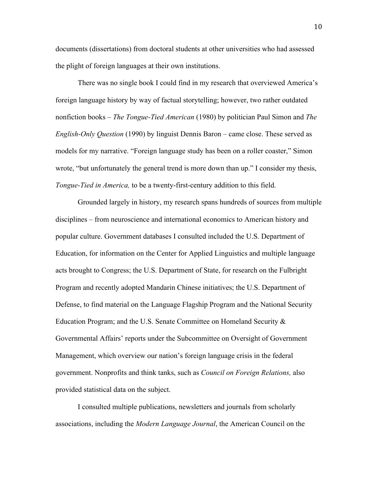documents (dissertations) from doctoral students at other universities who had assessed the plight of foreign languages at their own institutions.

There was no single book I could find in my research that overviewed America's foreign language history by way of factual storytelling; however, two rather outdated nonfiction books – *The Tongue-Tied American* (1980) by politician Paul Simon and *The English-Only Question* (1990) by linguist Dennis Baron – came close. These served as models for my narrative. "Foreign language study has been on a roller coaster," Simon wrote, "but unfortunately the general trend is more down than up." I consider my thesis, *Tongue-Tied in America,* to be a twenty-first-century addition to this field.

Grounded largely in history, my research spans hundreds of sources from multiple disciplines – from neuroscience and international economics to American history and popular culture. Government databases I consulted included the U.S. Department of Education, for information on the Center for Applied Linguistics and multiple language acts brought to Congress; the U.S. Department of State, for research on the Fulbright Program and recently adopted Mandarin Chinese initiatives; the U.S. Department of Defense, to find material on the Language Flagship Program and the National Security Education Program; and the U.S. Senate Committee on Homeland Security & Governmental Affairs' reports under the Subcommittee on Oversight of Government Management, which overview our nation's foreign language crisis in the federal government. Nonprofits and think tanks, such as *Council on Foreign Relations,* also provided statistical data on the subject.

I consulted multiple publications, newsletters and journals from scholarly associations, including the *Modern Language Journal*, the American Council on the 10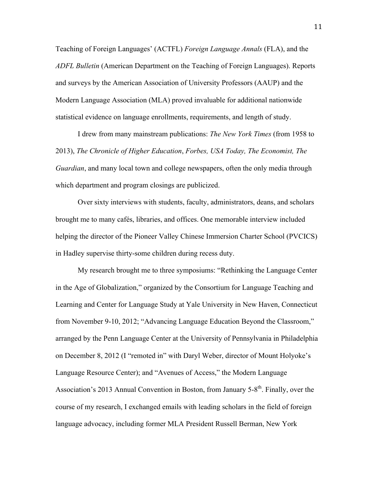Teaching of Foreign Languages' (ACTFL) *Foreign Language Annals* (FLA), and the *ADFL Bulletin* (American Department on the Teaching of Foreign Languages). Reports and surveys by the American Association of University Professors (AAUP) and the Modern Language Association (MLA) proved invaluable for additional nationwide statistical evidence on language enrollments, requirements, and length of study.

I drew from many mainstream publications: *The New York Times* (from 1958 to 2013), *The Chronicle of Higher Education*, *Forbes, USA Today, The Economist, The Guardian*, and many local town and college newspapers, often the only media through which department and program closings are publicized.

Over sixty interviews with students, faculty, administrators, deans, and scholars brought me to many cafés, libraries, and offices. One memorable interview included helping the director of the Pioneer Valley Chinese Immersion Charter School (PVCICS) in Hadley supervise thirty-some children during recess duty.

My research brought me to three symposiums: "Rethinking the Language Center in the Age of Globalization," organized by the Consortium for Language Teaching and Learning and Center for Language Study at Yale University in New Haven, Connecticut from November 9-10, 2012; "Advancing Language Education Beyond the Classroom," arranged by the Penn Language Center at the University of Pennsylvania in Philadelphia on December 8, 2012 (I "remoted in" with Daryl Weber, director of Mount Holyoke's Language Resource Center); and "Avenues of Access," the Modern Language Association's 2013 Annual Convention in Boston, from January 5-8<sup>th</sup>. Finally, over the course of my research, I exchanged emails with leading scholars in the field of foreign language advocacy, including former MLA President Russell Berman, New York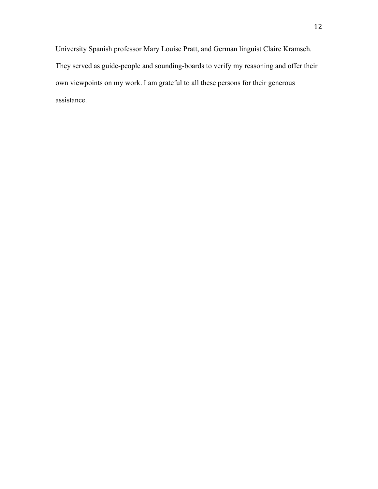University Spanish professor Mary Louise Pratt, and German linguist Claire Kramsch. They served as guide-people and sounding-boards to verify my reasoning and offer their own viewpoints on my work. I am grateful to all these persons for their generous assistance.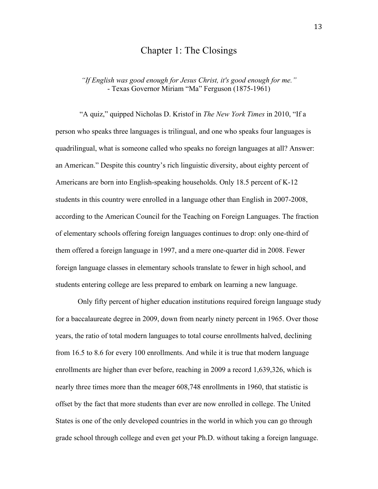## Chapter 1: The Closings

*"If English was good enough for Jesus Christ, it's good enough for me."* - Texas Governor Miriam "Ma" Ferguson (1875-1961)

"A quiz," quipped Nicholas D. Kristof in *The New York Times* in 2010, "If a person who speaks three languages is trilingual, and one who speaks four languages is quadrilingual, what is someone called who speaks no foreign languages at all? Answer: an American." Despite this country's rich linguistic diversity, about eighty percent of Americans are born into English-speaking households. Only 18.5 percent of K-12 students in this country were enrolled in a language other than English in 2007-2008, according to the American Council for the Teaching on Foreign Languages. The fraction of elementary schools offering foreign languages continues to drop: only one-third of them offered a foreign language in 1997, and a mere one-quarter did in 2008. Fewer foreign language classes in elementary schools translate to fewer in high school, and students entering college are less prepared to embark on learning a new language.

Only fifty percent of higher education institutions required foreign language study for a baccalaureate degree in 2009, down from nearly ninety percent in 1965. Over those years, the ratio of total modern languages to total course enrollments halved, declining from 16.5 to 8.6 for every 100 enrollments. And while it is true that modern language enrollments are higher than ever before, reaching in 2009 a record 1,639,326, which is nearly three times more than the meager 608,748 enrollments in 1960, that statistic is offset by the fact that more students than ever are now enrolled in college. The United States is one of the only developed countries in the world in which you can go through grade school through college and even get your Ph.D. without taking a foreign language.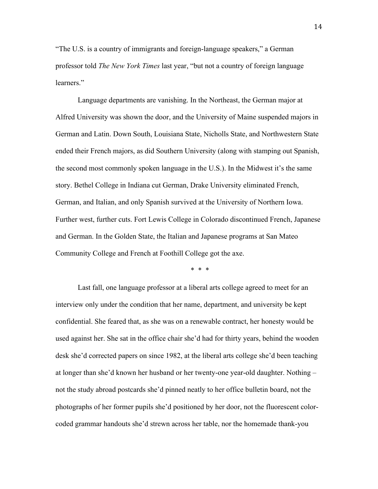"The U.S. is a country of immigrants and foreign-language speakers," a German professor told *The New York Times* last year, "but not a country of foreign language learners."

Language departments are vanishing. In the Northeast, the German major at Alfred University was shown the door, and the University of Maine suspended majors in German and Latin. Down South, Louisiana State, Nicholls State, and Northwestern State ended their French majors, as did Southern University (along with stamping out Spanish, the second most commonly spoken language in the U.S.). In the Midwest it's the same story. Bethel College in Indiana cut German, Drake University eliminated French, German, and Italian, and only Spanish survived at the University of Northern Iowa. Further west, further cuts. Fort Lewis College in Colorado discontinued French, Japanese and German. In the Golden State, the Italian and Japanese programs at San Mateo Community College and French at Foothill College got the axe.

\* \* \*

Last fall, one language professor at a liberal arts college agreed to meet for an interview only under the condition that her name, department, and university be kept confidential. She feared that, as she was on a renewable contract, her honesty would be used against her. She sat in the office chair she'd had for thirty years, behind the wooden desk she'd corrected papers on since 1982, at the liberal arts college she'd been teaching at longer than she'd known her husband or her twenty-one year-old daughter. Nothing – not the study abroad postcards she'd pinned neatly to her office bulletin board, not the photographs of her former pupils she'd positioned by her door, not the fluorescent colorcoded grammar handouts she'd strewn across her table, nor the homemade thank-you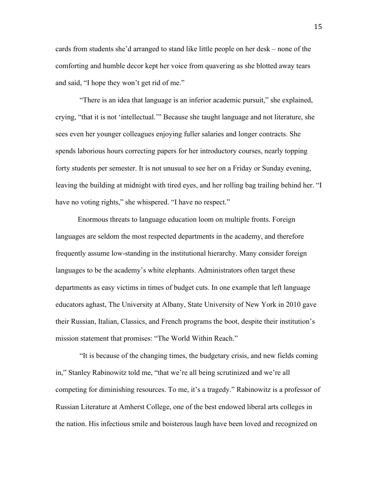cards from students she'd arranged to stand like little people on her desk – none of the comforting and humble decor kept her voice from quavering as she blotted away tears and said, "I hope they won't get rid of me."

"There is an idea that language is an inferior academic pursuit," she explained, crying, "that it is not 'intellectual.'" Because she taught language and not literature, she sees even her younger colleagues enjoying fuller salaries and longer contracts. She spends laborious hours correcting papers for her introductory courses, nearly topping forty students per semester. It is not unusual to see her on a Friday or Sunday evening, leaving the building at midnight with tired eyes, and her rolling bag trailing behind her. "I have no voting rights," she whispered. "I have no respect."

Enormous threats to language education loom on multiple fronts. Foreign languages are seldom the most respected departments in the academy, and therefore frequently assume low-standing in the institutional hierarchy. Many consider foreign languages to be the academy's white elephants. Administrators often target these departments as easy victims in times of budget cuts. In one example that left language educators aghast, The University at Albany, State University of New York in 2010 gave their Russian, Italian, Classics, and French programs the boot, despite their institution's mission statement that promises: "The World Within Reach."

"It is because of the changing times, the budgetary crisis, and new fields coming in," Stanley Rabinowitz told me, "that we're all being scrutinized and we're all competing for diminishing resources. To me, it's a tragedy." Rabinowitz is a professor of Russian Literature at Amherst College, one of the best endowed liberal arts colleges in the nation. His infectious smile and boisterous laugh have been loved and recognized on

15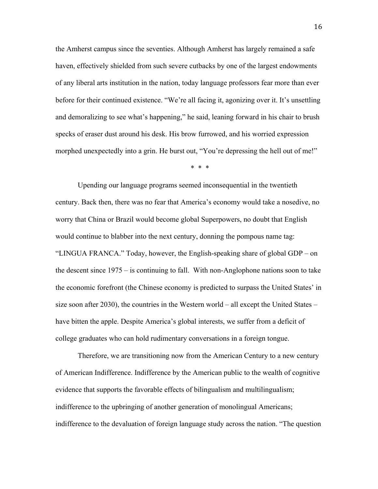the Amherst campus since the seventies. Although Amherst has largely remained a safe haven, effectively shielded from such severe cutbacks by one of the largest endowments of any liberal arts institution in the nation, today language professors fear more than ever before for their continued existence. "We're all facing it, agonizing over it. It's unsettling and demoralizing to see what's happening," he said, leaning forward in his chair to brush specks of eraser dust around his desk. His brow furrowed, and his worried expression morphed unexpectedly into a grin. He burst out, "You're depressing the hell out of me!"

\* \* \*

Upending our language programs seemed inconsequential in the twentieth century. Back then, there was no fear that America's economy would take a nosedive, no worry that China or Brazil would become global Superpowers, no doubt that English would continue to blabber into the next century, donning the pompous name tag: "LINGUA FRANCA." Today, however, the English-speaking share of global GDP – on the descent since 1975 – is continuing to fall. With non-Anglophone nations soon to take the economic forefront (the Chinese economy is predicted to surpass the United States' in size soon after 2030), the countries in the Western world – all except the United States – have bitten the apple. Despite America's global interests, we suffer from a deficit of college graduates who can hold rudimentary conversations in a foreign tongue.

Therefore, we are transitioning now from the American Century to a new century of American Indifference. Indifference by the American public to the wealth of cognitive evidence that supports the favorable effects of bilingualism and multilingualism; indifference to the upbringing of another generation of monolingual Americans; indifference to the devaluation of foreign language study across the nation. "The question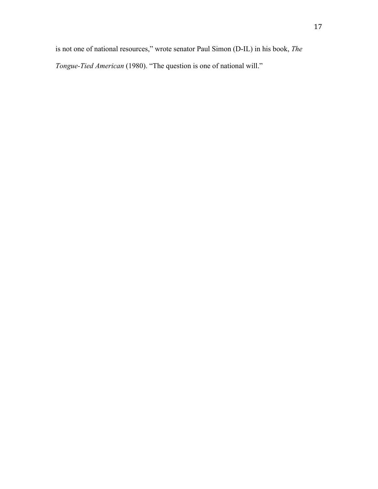is not one of national resources," wrote senator Paul Simon (D-IL) in his book, *The* 

*Tongue-Tied American* (1980). "The question is one of national will."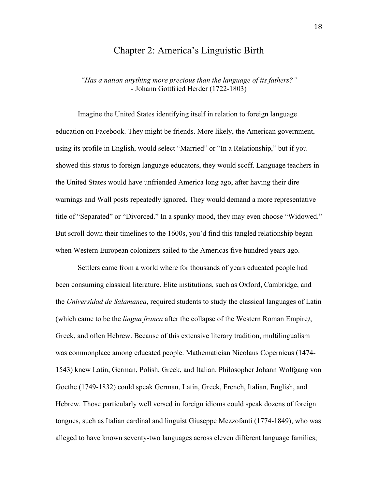## Chapter 2: America's Linguistic Birth

*"Has a nation anything more precious than the language of its fathers?"* - Johann Gottfried Herder (1722-1803)

Imagine the United States identifying itself in relation to foreign language education on Facebook. They might be friends. More likely, the American government, using its profile in English, would select "Married" or "In a Relationship," but if you showed this status to foreign language educators, they would scoff. Language teachers in the United States would have unfriended America long ago, after having their dire warnings and Wall posts repeatedly ignored. They would demand a more representative title of "Separated" or "Divorced." In a spunky mood, they may even choose "Widowed." But scroll down their timelines to the 1600s, you'd find this tangled relationship began when Western European colonizers sailed to the Americas five hundred years ago.

Settlers came from a world where for thousands of years educated people had been consuming classical literature. Elite institutions, such as Oxford, Cambridge, and the *Universidad de Salamanca*, required students to study the classical languages of Latin (which came to be the *lingua franca* after the collapse of the Western Roman Empire*)*, Greek, and often Hebrew. Because of this extensive literary tradition, multilingualism was commonplace among educated people. Mathematician Nicolaus Copernicus (1474- 1543) knew Latin, German, Polish, Greek, and Italian. Philosopher Johann Wolfgang von Goethe (1749-1832) could speak German, Latin, Greek, French, Italian, English, and Hebrew. Those particularly well versed in foreign idioms could speak dozens of foreign tongues, such as Italian cardinal and linguist Giuseppe Mezzofanti (1774-1849), who was alleged to have known seventy-two languages across eleven different language families;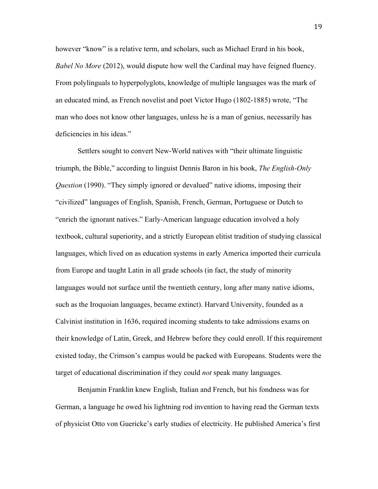however "know" is a relative term, and scholars, such as Michael Erard in his book, *Babel No More* (2012), would dispute how well the Cardinal may have feigned fluency. From polylinguals to hyperpolyglots, knowledge of multiple languages was the mark of an educated mind, as French novelist and poet Victor Hugo (1802-1885) wrote, "The man who does not know other languages, unless he is a man of genius, necessarily has deficiencies in his ideas."

Settlers sought to convert New-World natives with "their ultimate linguistic triumph, the Bible," according to linguist Dennis Baron in his book, *The English-Only Question* (1990). "They simply ignored or devalued" native idioms, imposing their "civilized" languages of English, Spanish, French, German, Portuguese or Dutch to "enrich the ignorant natives." Early-American language education involved a holy textbook, cultural superiority, and a strictly European elitist tradition of studying classical languages, which lived on as education systems in early America imported their curricula from Europe and taught Latin in all grade schools (in fact, the study of minority languages would not surface until the twentieth century, long after many native idioms, such as the Iroquoian languages, became extinct). Harvard University, founded as a Calvinist institution in 1636, required incoming students to take admissions exams on their knowledge of Latin, Greek, and Hebrew before they could enroll. If this requirement existed today, the Crimson's campus would be packed with Europeans. Students were the target of educational discrimination if they could *not* speak many languages.

Benjamin Franklin knew English, Italian and French, but his fondness was for German, a language he owed his lightning rod invention to having read the German texts of physicist Otto von Guericke's early studies of electricity. He published America's first

19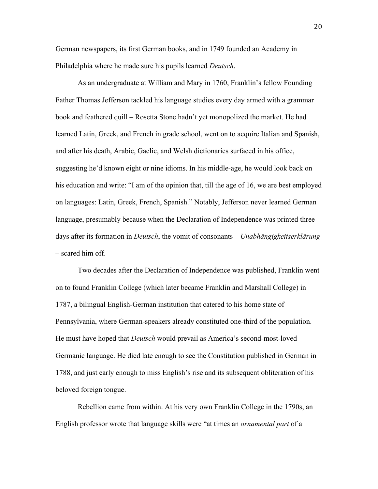German newspapers, its first German books, and in 1749 founded an Academy in Philadelphia where he made sure his pupils learned *Deutsch*.

As an undergraduate at William and Mary in 1760, Franklin's fellow Founding Father Thomas Jefferson tackled his language studies every day armed with a grammar book and feathered quill – Rosetta Stone hadn't yet monopolized the market. He had learned Latin, Greek, and French in grade school, went on to acquire Italian and Spanish, and after his death, Arabic, Gaelic, and Welsh dictionaries surfaced in his office, suggesting he'd known eight or nine idioms. In his middle-age, he would look back on his education and write: "I am of the opinion that, till the age of 16, we are best employed on languages: Latin, Greek, French, Spanish." Notably, Jefferson never learned German language, presumably because when the Declaration of Independence was printed three days after its formation in *Deutsch*, the vomit of consonants – *Unabhängigkeitserklärung* – scared him off.

Two decades after the Declaration of Independence was published, Franklin went on to found Franklin College (which later became Franklin and Marshall College) in 1787, a bilingual English-German institution that catered to his home state of Pennsylvania, where German-speakers already constituted one-third of the population. He must have hoped that *Deutsch* would prevail as America's second-most-loved Germanic language. He died late enough to see the Constitution published in German in 1788, and just early enough to miss English's rise and its subsequent obliteration of his beloved foreign tongue.

Rebellion came from within. At his very own Franklin College in the 1790s, an English professor wrote that language skills were "at times an *ornamental part* of a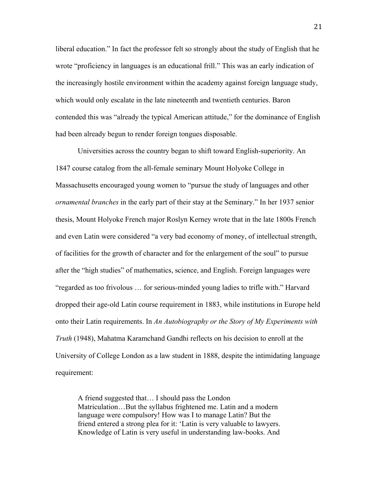liberal education." In fact the professor felt so strongly about the study of English that he wrote "proficiency in languages is an educational frill." This was an early indication of the increasingly hostile environment within the academy against foreign language study, which would only escalate in the late nineteenth and twentieth centuries. Baron contended this was "already the typical American attitude," for the dominance of English had been already begun to render foreign tongues disposable.

Universities across the country began to shift toward English-superiority. An 1847 course catalog from the all-female seminary Mount Holyoke College in Massachusetts encouraged young women to "pursue the study of languages and other *ornamental branches* in the early part of their stay at the Seminary." In her 1937 senior thesis, Mount Holyoke French major Roslyn Kerney wrote that in the late 1800s French and even Latin were considered "a very bad economy of money, of intellectual strength, of facilities for the growth of character and for the enlargement of the soul" to pursue after the "high studies" of mathematics, science, and English. Foreign languages were "regarded as too frivolous … for serious-minded young ladies to trifle with." Harvard dropped their age-old Latin course requirement in 1883, while institutions in Europe held onto their Latin requirements. In *An Autobiography or the Story of My Experiments with Truth* (1948), Mahatma Karamchand Gandhi reflects on his decision to enroll at the University of College London as a law student in 1888, despite the intimidating language requirement:

A friend suggested that… I should pass the London Matriculation…But the syllabus frightened me. Latin and a modern language were compulsory! How was I to manage Latin? But the friend entered a strong plea for it: 'Latin is very valuable to lawyers. Knowledge of Latin is very useful in understanding law-books. And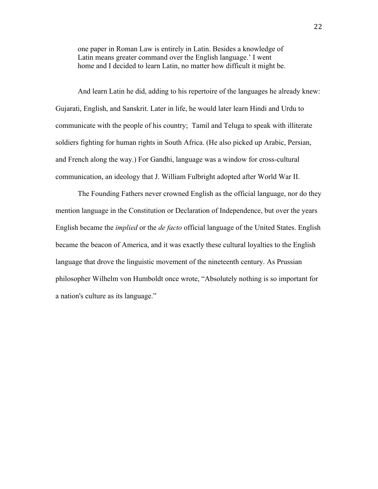one paper in Roman Law is entirely in Latin. Besides a knowledge of Latin means greater command over the English language.' I went home and I decided to learn Latin, no matter how difficult it might be.

And learn Latin he did, adding to his repertoire of the languages he already knew: Gujarati, English, and Sanskrit. Later in life, he would later learn Hindi and Urdu to communicate with the people of his country; Tamil and Teluga to speak with illiterate soldiers fighting for human rights in South Africa. (He also picked up Arabic, Persian, and French along the way.) For Gandhi, language was a window for cross-cultural communication, an ideology that J. William Fulbright adopted after World War II.

The Founding Fathers never crowned English as the official language, nor do they mention language in the Constitution or Declaration of Independence, but over the years English became the *implied* or the *de facto* official language of the United States. English became the beacon of America, and it was exactly these cultural loyalties to the English language that drove the linguistic movement of the nineteenth century. As Prussian philosopher Wilhelm von Humboldt once wrote, "Absolutely nothing is so important for a nation's culture as its language."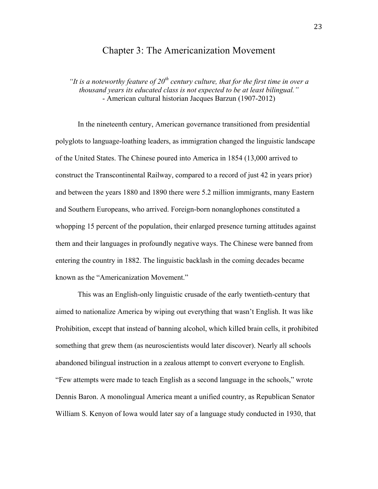## Chapter 3: The Americanization Movement

*"It is a noteworthy feature of 20th century culture, that for the first time in over a thousand years its educated class is not expected to be at least bilingual."* - American cultural historian Jacques Barzun (1907-2012)

In the nineteenth century, American governance transitioned from presidential polyglots to language-loathing leaders, as immigration changed the linguistic landscape of the United States. The Chinese poured into America in 1854 (13,000 arrived to construct the Transcontinental Railway, compared to a record of just 42 in years prior) and between the years 1880 and 1890 there were 5.2 million immigrants, many Eastern and Southern Europeans, who arrived. Foreign-born nonanglophones constituted a whopping 15 percent of the population, their enlarged presence turning attitudes against them and their languages in profoundly negative ways. The Chinese were banned from entering the country in 1882. The linguistic backlash in the coming decades became known as the "Americanization Movement."

This was an English-only linguistic crusade of the early twentieth-century that aimed to nationalize America by wiping out everything that wasn't English. It was like Prohibition, except that instead of banning alcohol, which killed brain cells, it prohibited something that grew them (as neuroscientists would later discover). Nearly all schools abandoned bilingual instruction in a zealous attempt to convert everyone to English. "Few attempts were made to teach English as a second language in the schools," wrote Dennis Baron. A monolingual America meant a unified country, as Republican Senator William S. Kenyon of Iowa would later say of a language study conducted in 1930, that

23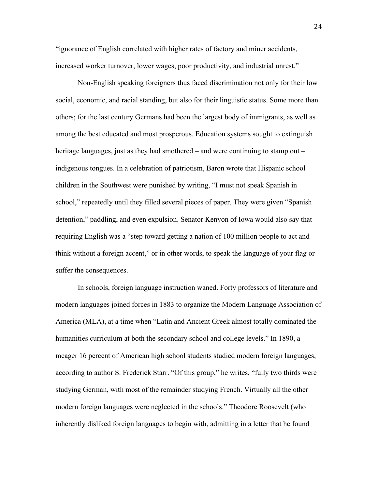"ignorance of English correlated with higher rates of factory and miner accidents, increased worker turnover, lower wages, poor productivity, and industrial unrest."

Non-English speaking foreigners thus faced discrimination not only for their low social, economic, and racial standing, but also for their linguistic status. Some more than others; for the last century Germans had been the largest body of immigrants, as well as among the best educated and most prosperous. Education systems sought to extinguish heritage languages, just as they had smothered – and were continuing to stamp out – indigenous tongues. In a celebration of patriotism, Baron wrote that Hispanic school children in the Southwest were punished by writing, "I must not speak Spanish in school," repeatedly until they filled several pieces of paper. They were given "Spanish detention," paddling, and even expulsion. Senator Kenyon of Iowa would also say that requiring English was a "step toward getting a nation of 100 million people to act and think without a foreign accent," or in other words, to speak the language of your flag or suffer the consequences.

In schools, foreign language instruction waned. Forty professors of literature and modern languages joined forces in 1883 to organize the Modern Language Association of America (MLA), at a time when "Latin and Ancient Greek almost totally dominated the humanities curriculum at both the secondary school and college levels." In 1890, a meager 16 percent of American high school students studied modern foreign languages, according to author S. Frederick Starr. "Of this group," he writes, "fully two thirds were studying German, with most of the remainder studying French. Virtually all the other modern foreign languages were neglected in the schools." Theodore Roosevelt (who inherently disliked foreign languages to begin with, admitting in a letter that he found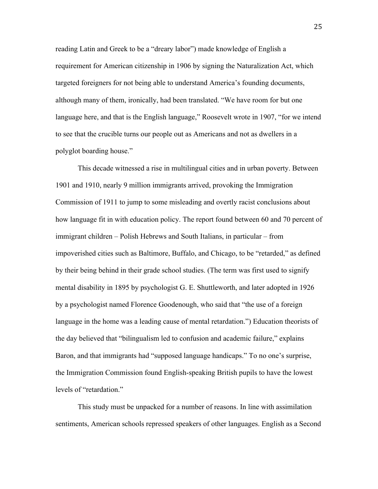reading Latin and Greek to be a "dreary labor") made knowledge of English a requirement for American citizenship in 1906 by signing the Naturalization Act, which targeted foreigners for not being able to understand America's founding documents, although many of them, ironically, had been translated. "We have room for but one language here, and that is the English language," Roosevelt wrote in 1907, "for we intend to see that the crucible turns our people out as Americans and not as dwellers in a polyglot boarding house."

This decade witnessed a rise in multilingual cities and in urban poverty. Between 1901 and 1910, nearly 9 million immigrants arrived, provoking the Immigration Commission of 1911 to jump to some misleading and overtly racist conclusions about how language fit in with education policy. The report found between 60 and 70 percent of immigrant children – Polish Hebrews and South Italians, in particular – from impoverished cities such as Baltimore, Buffalo, and Chicago, to be "retarded," as defined by their being behind in their grade school studies. (The term was first used to signify mental disability in 1895 by psychologist G. E. Shuttleworth, and later adopted in 1926 by a psychologist named Florence Goodenough, who said that "the use of a foreign language in the home was a leading cause of mental retardation.") Education theorists of the day believed that "bilingualism led to confusion and academic failure," explains Baron, and that immigrants had "supposed language handicaps." To no one's surprise, the Immigration Commission found English-speaking British pupils to have the lowest levels of "retardation."

This study must be unpacked for a number of reasons. In line with assimilation sentiments, American schools repressed speakers of other languages. English as a Second

25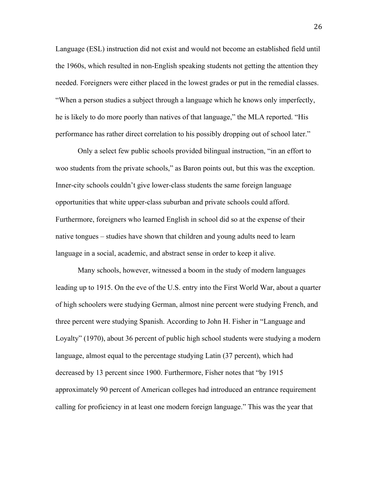Language (ESL) instruction did not exist and would not become an established field until the 1960s, which resulted in non-English speaking students not getting the attention they needed. Foreigners were either placed in the lowest grades or put in the remedial classes. "When a person studies a subject through a language which he knows only imperfectly, he is likely to do more poorly than natives of that language," the MLA reported. "His performance has rather direct correlation to his possibly dropping out of school later."

Only a select few public schools provided bilingual instruction, "in an effort to woo students from the private schools," as Baron points out, but this was the exception. Inner-city schools couldn't give lower-class students the same foreign language opportunities that white upper-class suburban and private schools could afford. Furthermore, foreigners who learned English in school did so at the expense of their native tongues – studies have shown that children and young adults need to learn language in a social, academic, and abstract sense in order to keep it alive.

Many schools, however, witnessed a boom in the study of modern languages leading up to 1915. On the eve of the U.S. entry into the First World War, about a quarter of high schoolers were studying German, almost nine percent were studying French, and three percent were studying Spanish. According to John H. Fisher in "Language and Loyalty" (1970), about 36 percent of public high school students were studying a modern language, almost equal to the percentage studying Latin (37 percent), which had decreased by 13 percent since 1900. Furthermore, Fisher notes that "by 1915 approximately 90 percent of American colleges had introduced an entrance requirement calling for proficiency in at least one modern foreign language." This was the year that

26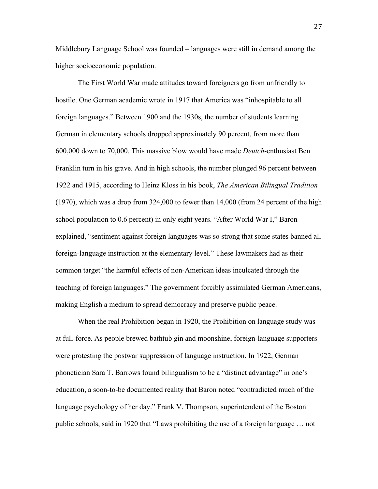Middlebury Language School was founded – languages were still in demand among the higher socioeconomic population.

The First World War made attitudes toward foreigners go from unfriendly to hostile. One German academic wrote in 1917 that America was "inhospitable to all foreign languages." Between 1900 and the 1930s, the number of students learning German in elementary schools dropped approximately 90 percent, from more than 600,000 down to 70,000. This massive blow would have made *Deutch*-enthusiast Ben Franklin turn in his grave. And in high schools, the number plunged 96 percent between 1922 and 1915, according to Heinz Kloss in his book, *The American Bilingual Tradition*  (1970), which was a drop from 324,000 to fewer than 14,000 (from 24 percent of the high school population to 0.6 percent) in only eight years. "After World War I," Baron explained, "sentiment against foreign languages was so strong that some states banned all foreign-language instruction at the elementary level." These lawmakers had as their common target "the harmful effects of non-American ideas inculcated through the teaching of foreign languages." The government forcibly assimilated German Americans, making English a medium to spread democracy and preserve public peace.

When the real Prohibition began in 1920, the Prohibition on language study was at full-force. As people brewed bathtub gin and moonshine, foreign-language supporters were protesting the postwar suppression of language instruction. In 1922, German phonetician Sara T. Barrows found bilingualism to be a "distinct advantage" in one's education, a soon-to-be documented reality that Baron noted "contradicted much of the language psychology of her day." Frank V. Thompson, superintendent of the Boston public schools, said in 1920 that "Laws prohibiting the use of a foreign language … not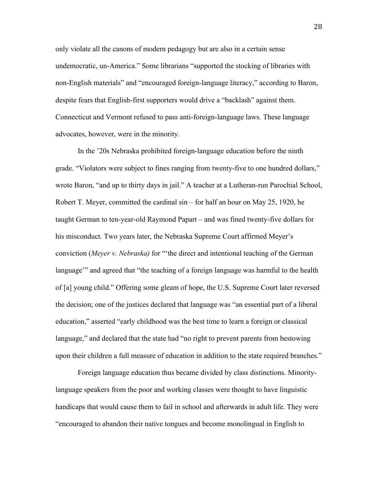only violate all the canons of modern pedagogy but are also in a certain sense undemocratic, un-America." Some librarians "supported the stocking of libraries with non-English materials" and "encouraged foreign-language literacy," according to Baron, despite fears that English-first supporters would drive a "backlash" against them. Connecticut and Vermont refused to pass anti-foreign-language laws. These language advocates, however, were in the minority.

In the '20s Nebraska prohibited foreign-language education before the ninth grade. "Violators were subject to fines ranging from twenty-five to one hundred dollars," wrote Baron, "and up to thirty days in jail." A teacher at a Lutheran-run Parochial School, Robert T. Meyer, committed the cardinal sin – for half an hour on May 25, 1920, he taught German to ten-year-old Raymond Papart – and was fined twenty-five dollars for his misconduct. Two years later, the Nebraska Supreme Court affirmed Meyer's conviction (*Meyer v. Nebraska)* for "'the direct and intentional teaching of the German language'" and agreed that "the teaching of a foreign language was harmful to the health of [a] young child." Offering some gleam of hope, the U.S. Supreme Court later reversed the decision; one of the justices declared that language was "an essential part of a liberal education," asserted "early childhood was the best time to learn a foreign or classical language," and declared that the state had "no right to prevent parents from bestowing upon their children a full measure of education in addition to the state required branches."

Foreign language education thus became divided by class distinctions. Minoritylanguage speakers from the poor and working classes were thought to have linguistic handicaps that would cause them to fail in school and afterwards in adult life. They were "encouraged to abandon their native tongues and become monolingual in English to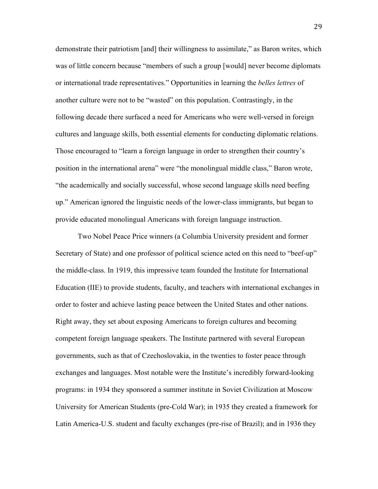demonstrate their patriotism [and] their willingness to assimilate," as Baron writes, which was of little concern because "members of such a group [would] never become diplomats or international trade representatives." Opportunities in learning the *belles lettres* of another culture were not to be "wasted" on this population. Contrastingly, in the following decade there surfaced a need for Americans who were well-versed in foreign cultures and language skills, both essential elements for conducting diplomatic relations. Those encouraged to "learn a foreign language in order to strengthen their country's position in the international arena" were "the monolingual middle class," Baron wrote, "the academically and socially successful, whose second language skills need beefing up." American ignored the linguistic needs of the lower-class immigrants, but began to provide educated monolingual Americans with foreign language instruction.

Two Nobel Peace Price winners (a Columbia University president and former Secretary of State) and one professor of political science acted on this need to "beef-up" the middle-class. In 1919, this impressive team founded the Institute for International Education (IIE) to provide students, faculty, and teachers with international exchanges in order to foster and achieve lasting peace between the United States and other nations. Right away, they set about exposing Americans to foreign cultures and becoming competent foreign language speakers. The Institute partnered with several European governments, such as that of Czechoslovakia, in the twenties to foster peace through exchanges and languages. Most notable were the Institute's incredibly forward-looking programs: in 1934 they sponsored a summer institute in Soviet Civilization at Moscow University for American Students (pre-Cold War); in 1935 they created a framework for Latin America-U.S. student and faculty exchanges (pre-rise of Brazil); and in 1936 they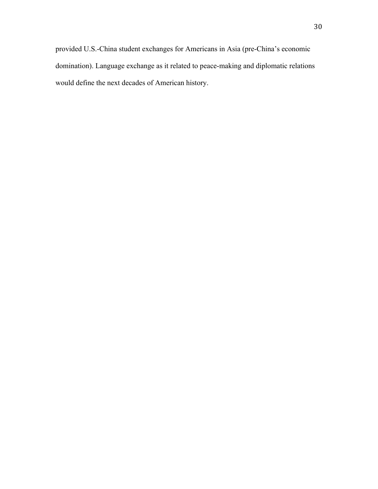provided U.S.-China student exchanges for Americans in Asia (pre-China's economic domination). Language exchange as it related to peace-making and diplomatic relations would define the next decades of American history.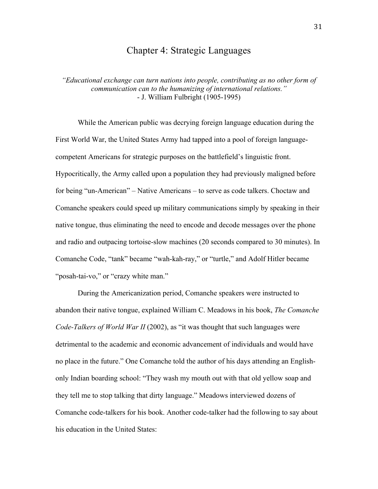## Chapter 4: Strategic Languages

*"Educational exchange can turn nations into people, contributing as no other form of communication can to the humanizing of international relations."* - J. William Fulbright (1905-1995)

While the American public was decrying foreign language education during the First World War, the United States Army had tapped into a pool of foreign languagecompetent Americans for strategic purposes on the battlefield's linguistic front. Hypocritically, the Army called upon a population they had previously maligned before for being "un-American" – Native Americans – to serve as code talkers. Choctaw and Comanche speakers could speed up military communications simply by speaking in their native tongue, thus eliminating the need to encode and decode messages over the phone and radio and outpacing tortoise-slow machines (20 seconds compared to 30 minutes). In Comanche Code, "tank" became "wah-kah-ray," or "turtle," and Adolf Hitler became "posah-tai-vo," or "crazy white man."

During the Americanization period, Comanche speakers were instructed to abandon their native tongue, explained William C. Meadows in his book, *The Comanche Code-Talkers of World War II* (2002), as "it was thought that such languages were detrimental to the academic and economic advancement of individuals and would have no place in the future." One Comanche told the author of his days attending an Englishonly Indian boarding school: "They wash my mouth out with that old yellow soap and they tell me to stop talking that dirty language." Meadows interviewed dozens of Comanche code-talkers for his book. Another code-talker had the following to say about his education in the United States: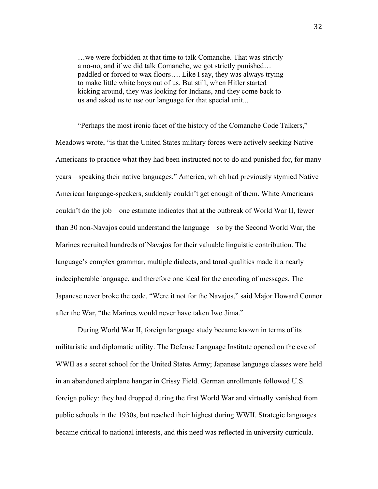…we were forbidden at that time to talk Comanche. That was strictly a no-no, and if we did talk Comanche, we got strictly punished… paddled or forced to wax floors…. Like I say, they was always trying to make little white boys out of us. But still, when Hitler started kicking around, they was looking for Indians, and they come back to us and asked us to use our language for that special unit...

"Perhaps the most ironic facet of the history of the Comanche Code Talkers," Meadows wrote, "is that the United States military forces were actively seeking Native Americans to practice what they had been instructed not to do and punished for, for many years – speaking their native languages." America, which had previously stymied Native American language-speakers, suddenly couldn't get enough of them. White Americans couldn't do the job – one estimate indicates that at the outbreak of World War II, fewer than 30 non-Navajos could understand the language – so by the Second World War, the Marines recruited hundreds of Navajos for their valuable linguistic contribution. The language's complex grammar, multiple dialects, and tonal qualities made it a nearly indecipherable language, and therefore one ideal for the encoding of messages. The Japanese never broke the code. "Were it not for the Navajos," said Major Howard Connor after the War, "the Marines would never have taken Iwo Jima."

During World War II, foreign language study became known in terms of its militaristic and diplomatic utility. The Defense Language Institute opened on the eve of WWII as a secret school for the United States Army; Japanese language classes were held in an abandoned airplane hangar in Crissy Field. German enrollments followed U.S. foreign policy: they had dropped during the first World War and virtually vanished from public schools in the 1930s, but reached their highest during WWII. Strategic languages became critical to national interests, and this need was reflected in university curricula.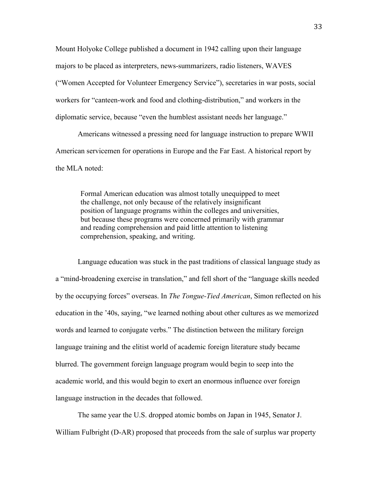Mount Holyoke College published a document in 1942 calling upon their language majors to be placed as interpreters, news-summarizers, radio listeners, WAVES ("Women Accepted for Volunteer Emergency Service"), secretaries in war posts, social workers for "canteen-work and food and clothing-distribution," and workers in the diplomatic service, because "even the humblest assistant needs her language."

Americans witnessed a pressing need for language instruction to prepare WWII American servicemen for operations in Europe and the Far East. A historical report by the MLA noted:

Formal American education was almost totally unequipped to meet the challenge, not only because of the relatively insignificant position of language programs within the colleges and universities, but because these programs were concerned primarily with grammar and reading comprehension and paid little attention to listening comprehension, speaking, and writing.

Language education was stuck in the past traditions of classical language study as a "mind-broadening exercise in translation," and fell short of the "language skills needed by the occupying forces" overseas. In *The Tongue-Tied American*, Simon reflected on his education in the '40s, saying, "we learned nothing about other cultures as we memorized words and learned to conjugate verbs." The distinction between the military foreign language training and the elitist world of academic foreign literature study became blurred. The government foreign language program would begin to seep into the academic world, and this would begin to exert an enormous influence over foreign language instruction in the decades that followed.

The same year the U.S. dropped atomic bombs on Japan in 1945, Senator J. William Fulbright (D-AR) proposed that proceeds from the sale of surplus war property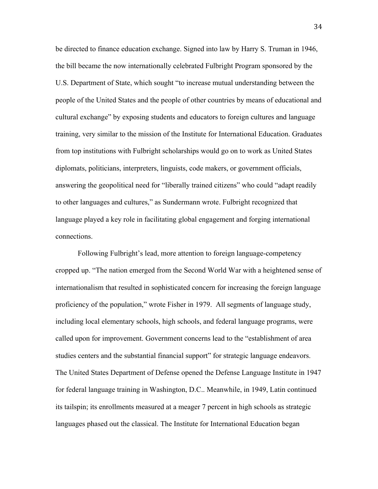be directed to finance education exchange. Signed into law by Harry S. Truman in 1946, the bill became the now internationally celebrated Fulbright Program sponsored by the U.S. Department of State, which sought "to increase mutual understanding between the people of the United States and the people of other countries by means of educational and cultural exchange" by exposing students and educators to foreign cultures and language training, very similar to the mission of the Institute for International Education. Graduates from top institutions with Fulbright scholarships would go on to work as United States diplomats, politicians, interpreters, linguists, code makers, or government officials, answering the geopolitical need for "liberally trained citizens" who could "adapt readily to other languages and cultures," as Sundermann wrote. Fulbright recognized that language played a key role in facilitating global engagement and forging international connections.

Following Fulbright's lead, more attention to foreign language-competency cropped up. "The nation emerged from the Second World War with a heightened sense of internationalism that resulted in sophisticated concern for increasing the foreign language proficiency of the population," wrote Fisher in 1979. All segments of language study, including local elementary schools, high schools, and federal language programs, were called upon for improvement. Government concerns lead to the "establishment of area studies centers and the substantial financial support" for strategic language endeavors. The United States Department of Defense opened the Defense Language Institute in 1947 for federal language training in Washington, D.C.. Meanwhile, in 1949, Latin continued its tailspin; its enrollments measured at a meager 7 percent in high schools as strategic languages phased out the classical. The Institute for International Education began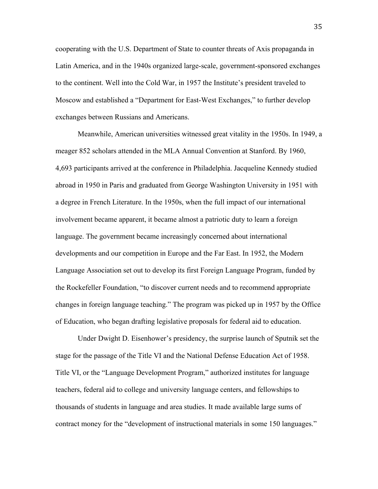cooperating with the U.S. Department of State to counter threats of Axis propaganda in Latin America, and in the 1940s organized large-scale, government-sponsored exchanges to the continent. Well into the Cold War, in 1957 the Institute's president traveled to Moscow and established a "Department for East-West Exchanges," to further develop exchanges between Russians and Americans.

Meanwhile, American universities witnessed great vitality in the 1950s. In 1949, a meager 852 scholars attended in the MLA Annual Convention at Stanford. By 1960, 4,693 participants arrived at the conference in Philadelphia. Jacqueline Kennedy studied abroad in 1950 in Paris and graduated from George Washington University in 1951 with a degree in French Literature. In the 1950s, when the full impact of our international involvement became apparent, it became almost a patriotic duty to learn a foreign language. The government became increasingly concerned about international developments and our competition in Europe and the Far East. In 1952, the Modern Language Association set out to develop its first Foreign Language Program, funded by the Rockefeller Foundation, "to discover current needs and to recommend appropriate changes in foreign language teaching." The program was picked up in 1957 by the Office of Education, who began drafting legislative proposals for federal aid to education.

Under Dwight D. Eisenhower's presidency, the surprise launch of Sputnik set the stage for the passage of the Title VI and the National Defense Education Act of 1958. Title VI, or the "Language Development Program," authorized institutes for language teachers, federal aid to college and university language centers, and fellowships to thousands of students in language and area studies. It made available large sums of contract money for the "development of instructional materials in some 150 languages."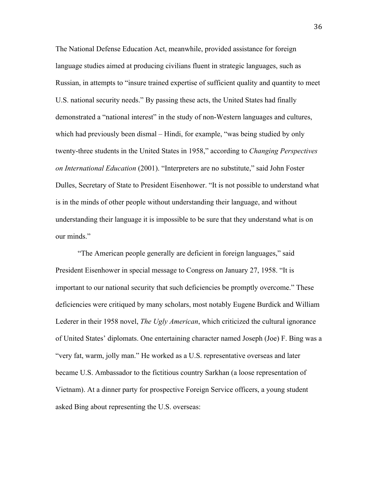The National Defense Education Act, meanwhile, provided assistance for foreign language studies aimed at producing civilians fluent in strategic languages, such as Russian, in attempts to "insure trained expertise of sufficient quality and quantity to meet U.S. national security needs." By passing these acts, the United States had finally demonstrated a "national interest" in the study of non-Western languages and cultures, which had previously been dismal – Hindi, for example, "was being studied by only twenty-three students in the United States in 1958," according to *Changing Perspectives on International Education* (2001). "Interpreters are no substitute," said John Foster Dulles, Secretary of State to President Eisenhower. "It is not possible to understand what is in the minds of other people without understanding their language, and without understanding their language it is impossible to be sure that they understand what is on our minds."

"The American people generally are deficient in foreign languages," said President Eisenhower in special message to Congress on January 27, 1958. "It is important to our national security that such deficiencies be promptly overcome." These deficiencies were critiqued by many scholars, most notably Eugene Burdick and William Lederer in their 1958 novel, *The Ugly American*, which criticized the cultural ignorance of United States' diplomats. One entertaining character named Joseph (Joe) F. Bing was a "very fat, warm, jolly man." He worked as a U.S. representative overseas and later became U.S. Ambassador to the fictitious country Sarkhan (a loose representation of Vietnam). At a dinner party for prospective Foreign Service officers, a young student asked Bing about representing the U.S. overseas: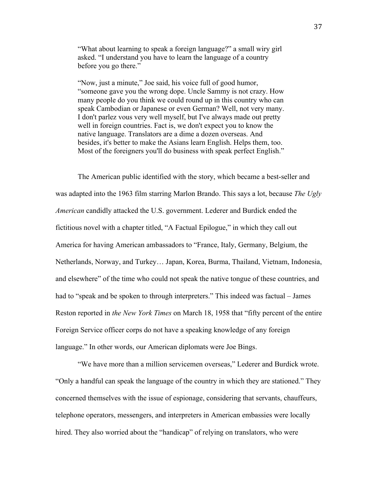"What about learning to speak a foreign language?" a small wiry girl asked. "I understand you have to learn the language of a country before you go there."

"Now, just a minute," Joe said, his voice full of good humor, "someone gave you the wrong dope. Uncle Sammy is not crazy. How many people do you think we could round up in this country who can speak Cambodian or Japanese or even German? Well, not very many. I don't parlez vous very well myself, but I've always made out pretty well in foreign countries. Fact is, we don't expect you to know the native language. Translators are a dime a dozen overseas. And besides, it's better to make the Asians learn English. Helps them, too. Most of the foreigners you'll do business with speak perfect English."

The American public identified with the story, which became a best-seller and was adapted into the 1963 film starring Marlon Brando. This says a lot, because *The Ugly American* candidly attacked the U.S. government. Lederer and Burdick ended the fictitious novel with a chapter titled, "A Factual Epilogue," in which they call out America for having American ambassadors to "France, Italy, Germany, Belgium, the Netherlands, Norway, and Turkey… Japan, Korea, Burma, Thailand, Vietnam, Indonesia, and elsewhere" of the time who could not speak the native tongue of these countries, and had to "speak and be spoken to through interpreters." This indeed was factual – James Reston reported in *the New York Times* on March 18, 1958 that "fifty percent of the entire Foreign Service officer corps do not have a speaking knowledge of any foreign language." In other words, our American diplomats were Joe Bings.

"We have more than a million servicemen overseas," Lederer and Burdick wrote. "Only a handful can speak the language of the country in which they are stationed." They concerned themselves with the issue of espionage, considering that servants, chauffeurs, telephone operators, messengers, and interpreters in American embassies were locally hired. They also worried about the "handicap" of relying on translators, who were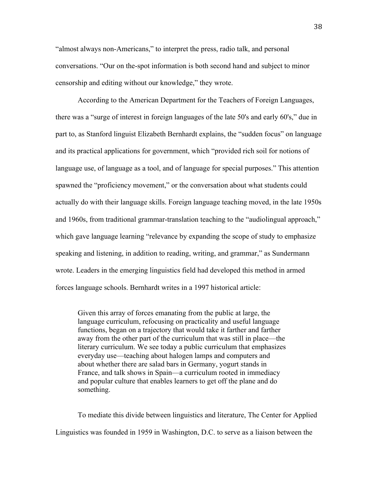"almost always non-Americans," to interpret the press, radio talk, and personal conversations. "Our on the-spot information is both second hand and subject to minor censorship and editing without our knowledge," they wrote.

According to the American Department for the Teachers of Foreign Languages, there was a "surge of interest in foreign languages of the late 50's and early 60's," due in part to, as Stanford linguist Elizabeth Bernhardt explains, the "sudden focus" on language and its practical applications for government, which "provided rich soil for notions of language use, of language as a tool, and of language for special purposes." This attention spawned the "proficiency movement," or the conversation about what students could actually do with their language skills. Foreign language teaching moved, in the late 1950s and 1960s, from traditional grammar-translation teaching to the "audiolingual approach," which gave language learning "relevance by expanding the scope of study to emphasize speaking and listening, in addition to reading, writing, and grammar," as Sundermann wrote. Leaders in the emerging linguistics field had developed this method in armed forces language schools. Bernhardt writes in a 1997 historical article:

Given this array of forces emanating from the public at large, the language curriculum, refocusing on practicality and useful language functions, began on a trajectory that would take it farther and farther away from the other part of the curriculum that was still in place—the literary curriculum. We see today a public curriculum that emphasizes everyday use—teaching about halogen lamps and computers and about whether there are salad bars in Germany, yogurt stands in France, and talk shows in Spain—a curriculum rooted in immediacy and popular culture that enables learners to get off the plane and do something.

To mediate this divide between linguistics and literature, The Center for Applied Linguistics was founded in 1959 in Washington, D.C. to serve as a liaison between the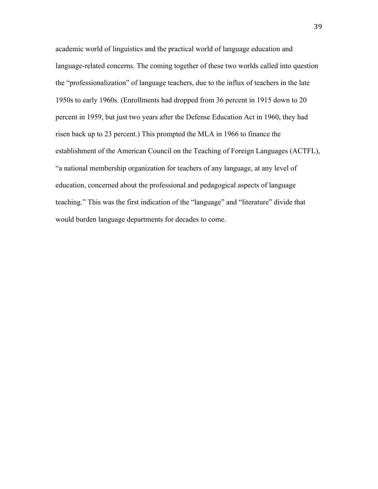academic world of linguistics and the practical world of language education and language-related concerns. The coming together of these two worlds called into question the "professionalization" of language teachers, due to the influx of teachers in the late 1950s to early 1960s. (Enrollments had dropped from 36 percent in 1915 down to 20 percent in 1959, but just two years after the Defense Education Act in 1960, they had risen back up to 23 percent.) This prompted the MLA in 1966 to finance the establishment of the American Council on the Teaching of Foreign Languages (ACTFL), "a national membership organization for teachers of any language, at any level of education, concerned about the professional and pedagogical aspects of language teaching." This was the first indication of the "language" and "literature" divide that would burden language departments for decades to come.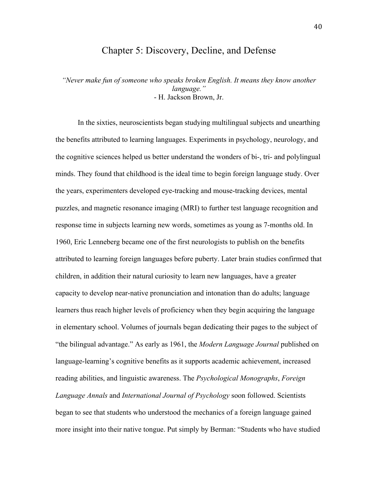# Chapter 5: Discovery, Decline, and Defense

*"Never make fun of someone who speaks broken English. It means they know another language."* - H. Jackson Brown, Jr.

In the sixties, neuroscientists began studying multilingual subjects and unearthing the benefits attributed to learning languages. Experiments in psychology, neurology, and the cognitive sciences helped us better understand the wonders of bi-, tri- and polylingual minds. They found that childhood is the ideal time to begin foreign language study. Over the years, experimenters developed eye-tracking and mouse-tracking devices, mental puzzles, and magnetic resonance imaging (MRI) to further test language recognition and response time in subjects learning new words, sometimes as young as 7-months old. In 1960, Eric Lenneberg became one of the first neurologists to publish on the benefits attributed to learning foreign languages before puberty. Later brain studies confirmed that children, in addition their natural curiosity to learn new languages, have a greater capacity to develop near-native pronunciation and intonation than do adults; language learners thus reach higher levels of proficiency when they begin acquiring the language in elementary school. Volumes of journals began dedicating their pages to the subject of "the bilingual advantage." As early as 1961, the *Modern Language Journal* published on language-learning's cognitive benefits as it supports academic achievement, increased reading abilities, and linguistic awareness. The *Psychological Monographs*, *Foreign Language Annals* and *International Journal of Psychology* soon followed. Scientists began to see that students who understood the mechanics of a foreign language gained more insight into their native tongue. Put simply by Berman: "Students who have studied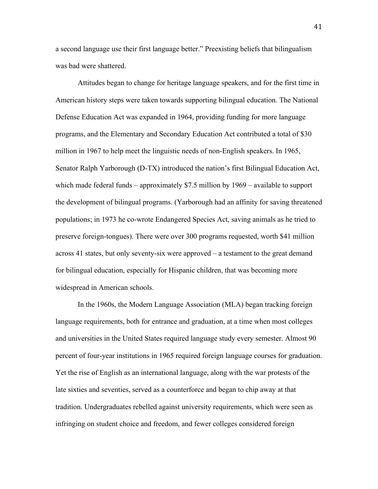a second language use their first language better." Preexisting beliefs that bilingualism was bad were shattered.

Attitudes began to change for heritage language speakers, and for the first time in American history steps were taken towards supporting bilingual education. The National Defense Education Act was expanded in 1964, providing funding for more language programs, and the Elementary and Secondary Education Act contributed a total of \$30 million in 1967 to help meet the linguistic needs of non-English speakers. In 1965, Senator Ralph Yarborough (D-TX) introduced the nation's first Bilingual Education Act, which made federal funds – approximately \$7.5 million by 1969 – available to support the development of bilingual programs. (Yarborough had an affinity for saving threatened populations; in 1973 he co-wrote Endangered Species Act, saving animals as he tried to preserve foreign-tongues). There were over 300 programs requested, worth \$41 million across 41 states, but only seventy-six were approved – a testament to the great demand for bilingual education, especially for Hispanic children, that was becoming more widespread in American schools.

In the 1960s, the Modern Language Association (MLA) began tracking foreign language requirements, both for entrance and graduation, at a time when most colleges and universities in the United States required language study every semester. Almost 90 percent of four-year institutions in 1965 required foreign language courses for graduation. Yet the rise of English as an international language, along with the war protests of the late sixties and seventies, served as a counterforce and began to chip away at that tradition. Undergraduates rebelled against university requirements, which were seen as infringing on student choice and freedom, and fewer colleges considered foreign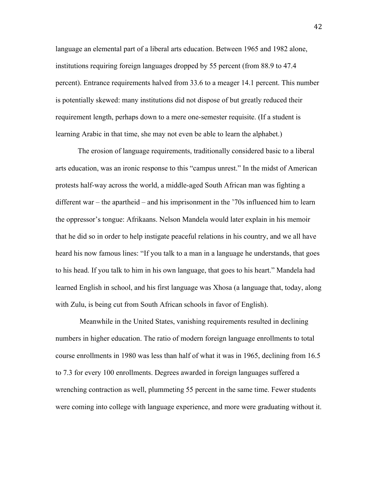language an elemental part of a liberal arts education. Between 1965 and 1982 alone, institutions requiring foreign languages dropped by 55 percent (from 88.9 to 47.4 percent). Entrance requirements halved from 33.6 to a meager 14.1 percent. This number is potentially skewed: many institutions did not dispose of but greatly reduced their requirement length, perhaps down to a mere one-semester requisite. (If a student is learning Arabic in that time, she may not even be able to learn the alphabet.)

The erosion of language requirements, traditionally considered basic to a liberal arts education, was an ironic response to this "campus unrest." In the midst of American protests half-way across the world, a middle-aged South African man was fighting a different war – the apartheid – and his imprisonment in the '70s influenced him to learn the oppressor's tongue: Afrikaans. Nelson Mandela would later explain in his memoir that he did so in order to help instigate peaceful relations in his country, and we all have heard his now famous lines: "If you talk to a man in a language he understands, that goes to his head. If you talk to him in his own language, that goes to his heart." Mandela had learned English in school, and his first language was Xhosa (a language that, today, along with Zulu, is being cut from South African schools in favor of English).

Meanwhile in the United States, vanishing requirements resulted in declining numbers in higher education. The ratio of modern foreign language enrollments to total course enrollments in 1980 was less than half of what it was in 1965, declining from 16.5 to 7.3 for every 100 enrollments. Degrees awarded in foreign languages suffered a wrenching contraction as well, plummeting 55 percent in the same time. Fewer students were coming into college with language experience, and more were graduating without it.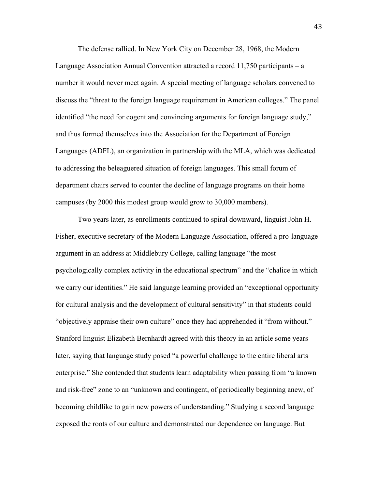The defense rallied. In New York City on December 28, 1968, the Modern Language Association Annual Convention attracted a record 11,750 participants – a number it would never meet again. A special meeting of language scholars convened to discuss the "threat to the foreign language requirement in American colleges." The panel identified "the need for cogent and convincing arguments for foreign language study," and thus formed themselves into the Association for the Department of Foreign Languages (ADFL), an organization in partnership with the MLA, which was dedicated to addressing the beleaguered situation of foreign languages. This small forum of department chairs served to counter the decline of language programs on their home campuses (by 2000 this modest group would grow to 30,000 members).

Two years later, as enrollments continued to spiral downward, linguist John H. Fisher, executive secretary of the Modern Language Association, offered a pro-language argument in an address at Middlebury College, calling language "the most psychologically complex activity in the educational spectrum" and the "chalice in which we carry our identities." He said language learning provided an "exceptional opportunity for cultural analysis and the development of cultural sensitivity" in that students could "objectively appraise their own culture" once they had apprehended it "from without." Stanford linguist Elizabeth Bernhardt agreed with this theory in an article some years later, saying that language study posed "a powerful challenge to the entire liberal arts enterprise." She contended that students learn adaptability when passing from "a known and risk-free" zone to an "unknown and contingent, of periodically beginning anew, of becoming childlike to gain new powers of understanding." Studying a second language exposed the roots of our culture and demonstrated our dependence on language. But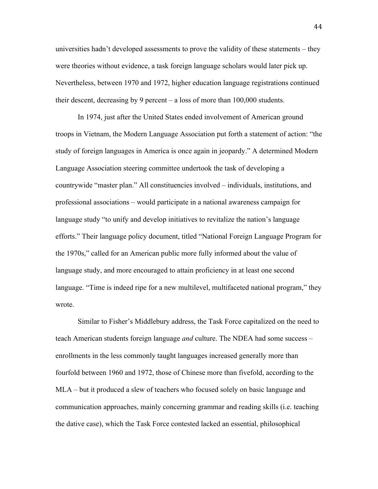universities hadn't developed assessments to prove the validity of these statements – they were theories without evidence, a task foreign language scholars would later pick up. Nevertheless, between 1970 and 1972, higher education language registrations continued their descent, decreasing by 9 percent – a loss of more than 100,000 students.

In 1974, just after the United States ended involvement of American ground troops in Vietnam, the Modern Language Association put forth a statement of action: "the study of foreign languages in America is once again in jeopardy." A determined Modern Language Association steering committee undertook the task of developing a countrywide "master plan." All constituencies involved – individuals, institutions, and professional associations – would participate in a national awareness campaign for language study "to unify and develop initiatives to revitalize the nation's language efforts." Their language policy document, titled "National Foreign Language Program for the 1970s," called for an American public more fully informed about the value of language study, and more encouraged to attain proficiency in at least one second language. "Time is indeed ripe for a new multilevel, multifaceted national program," they wrote.

Similar to Fisher's Middlebury address, the Task Force capitalized on the need to teach American students foreign language *and* culture. The NDEA had some success – enrollments in the less commonly taught languages increased generally more than fourfold between 1960 and 1972, those of Chinese more than fivefold, according to the MLA – but it produced a slew of teachers who focused solely on basic language and communication approaches, mainly concerning grammar and reading skills (i.e. teaching the dative case), which the Task Force contested lacked an essential, philosophical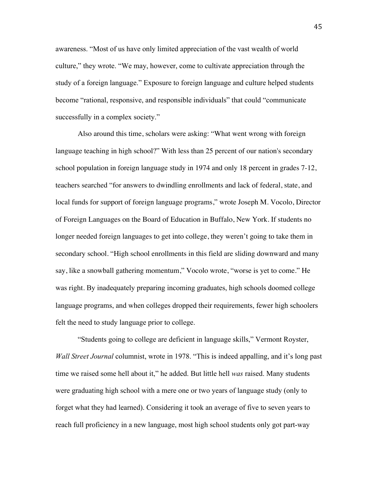awareness. "Most of us have only limited appreciation of the vast wealth of world culture," they wrote. "We may, however, come to cultivate appreciation through the study of a foreign language." Exposure to foreign language and culture helped students become "rational, responsive, and responsible individuals" that could "communicate successfully in a complex society."

Also around this time, scholars were asking: "What went wrong with foreign language teaching in high school?" With less than 25 percent of our nation's secondary school population in foreign language study in 1974 and only 18 percent in grades 7-12, teachers searched "for answers to dwindling enrollments and lack of federal, state, and local funds for support of foreign language programs," wrote Joseph M. Vocolo, Director of Foreign Languages on the Board of Education in Buffalo, New York. If students no longer needed foreign languages to get into college, they weren't going to take them in secondary school. "High school enrollments in this field are sliding downward and many say, like a snowball gathering momentum," Vocolo wrote, "worse is yet to come." He was right. By inadequately preparing incoming graduates, high schools doomed college language programs, and when colleges dropped their requirements, fewer high schoolers felt the need to study language prior to college.

"Students going to college are deficient in language skills," Vermont Royster, *Wall Street Journal* columnist, wrote in 1978. "This is indeed appalling, and it's long past time we raised some hell about it," he added. But little hell *was* raised. Many students were graduating high school with a mere one or two years of language study (only to forget what they had learned). Considering it took an average of five to seven years to reach full proficiency in a new language, most high school students only got part-way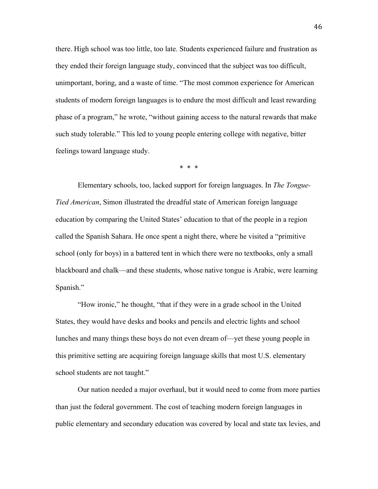there. High school was too little, too late. Students experienced failure and frustration as they ended their foreign language study, convinced that the subject was too difficult, unimportant, boring, and a waste of time. "The most common experience for American students of modern foreign languages is to endure the most difficult and least rewarding phase of a program," he wrote, "without gaining access to the natural rewards that make such study tolerable." This led to young people entering college with negative, bitter feelings toward language study.

\* \* \*

Elementary schools, too, lacked support for foreign languages. In *The Tongue-Tied American*, Simon illustrated the dreadful state of American foreign language education by comparing the United States' education to that of the people in a region called the Spanish Sahara. He once spent a night there, where he visited a "primitive school (only for boys) in a battered tent in which there were no textbooks, only a small blackboard and chalk—and these students, whose native tongue is Arabic, were learning Spanish."

"How ironic," he thought, "that if they were in a grade school in the United States, they would have desks and books and pencils and electric lights and school lunches and many things these boys do not even dream of—yet these young people in this primitive setting are acquiring foreign language skills that most U.S. elementary school students are not taught."

Our nation needed a major overhaul, but it would need to come from more parties than just the federal government. The cost of teaching modern foreign languages in public elementary and secondary education was covered by local and state tax levies, and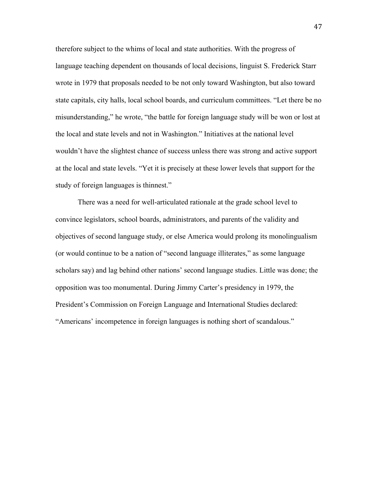therefore subject to the whims of local and state authorities. With the progress of language teaching dependent on thousands of local decisions, linguist S. Frederick Starr wrote in 1979 that proposals needed to be not only toward Washington, but also toward state capitals, city halls, local school boards, and curriculum committees. "Let there be no misunderstanding," he wrote, "the battle for foreign language study will be won or lost at the local and state levels and not in Washington." Initiatives at the national level wouldn't have the slightest chance of success unless there was strong and active support at the local and state levels. "Yet it is precisely at these lower levels that support for the study of foreign languages is thinnest."

There was a need for well-articulated rationale at the grade school level to convince legislators, school boards, administrators, and parents of the validity and objectives of second language study, or else America would prolong its monolingualism (or would continue to be a nation of "second language illiterates," as some language scholars say) and lag behind other nations' second language studies. Little was done; the opposition was too monumental. During Jimmy Carter's presidency in 1979, the President's Commission on Foreign Language and International Studies declared: "Americans' incompetence in foreign languages is nothing short of scandalous."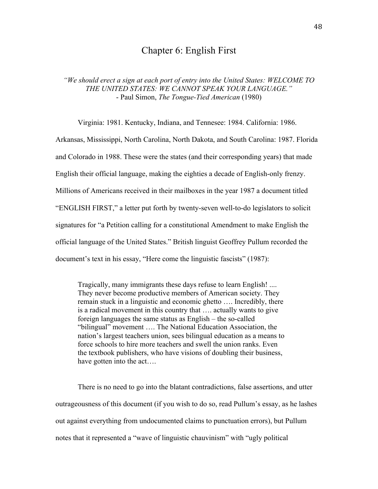# Chapter 6: English First

*"We should erect a sign at each port of entry into the United States: WELCOME TO THE UNITED STATES: WE CANNOT SPEAK YOUR LANGUAGE."* - Paul Simon, *The Tongue-Tied American* (1980)

Virginia: 1981. Kentucky, Indiana, and Tennesee: 1984. California: 1986.

Arkansas, Mississippi, North Carolina, North Dakota, and South Carolina: 1987. Florida and Colorado in 1988. These were the states (and their corresponding years) that made English their official language, making the eighties a decade of English-only frenzy. Millions of Americans received in their mailboxes in the year 1987 a document titled "ENGLISH FIRST," a letter put forth by twenty-seven well-to-do legislators to solicit signatures for "a Petition calling for a constitutional Amendment to make English the official language of the United States." British linguist Geoffrey Pullum recorded the document's text in his essay, "Here come the linguistic fascists" (1987):

Tragically, many immigrants these days refuse to learn English! .... They never become productive members of American society. They remain stuck in a linguistic and economic ghetto …. Incredibly, there is a radical movement in this country that …. actually wants to give foreign languages the same status as English – the so-called "bilingual" movement …. The National Education Association, the nation's largest teachers union, sees bilingual education as a means to force schools to hire more teachers and swell the union ranks. Even the textbook publishers, who have visions of doubling their business, have gotten into the act....

There is no need to go into the blatant contradictions, false assertions, and utter outrageousness of this document (if you wish to do so, read Pullum's essay, as he lashes out against everything from undocumented claims to punctuation errors), but Pullum notes that it represented a "wave of linguistic chauvinism" with "ugly political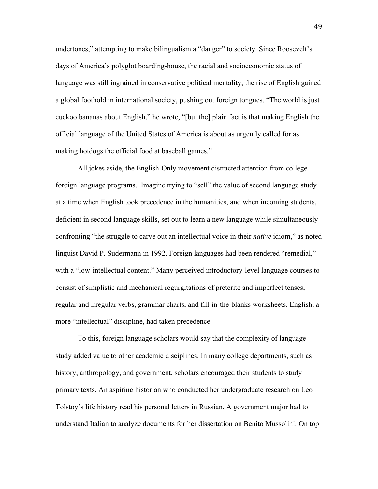undertones," attempting to make bilingualism a "danger" to society. Since Roosevelt's days of America's polyglot boarding-house, the racial and socioeconomic status of language was still ingrained in conservative political mentality; the rise of English gained a global foothold in international society, pushing out foreign tongues. "The world is just cuckoo bananas about English," he wrote, "[but the] plain fact is that making English the official language of the United States of America is about as urgently called for as making hotdogs the official food at baseball games."

All jokes aside, the English-Only movement distracted attention from college foreign language programs. Imagine trying to "sell" the value of second language study at a time when English took precedence in the humanities, and when incoming students, deficient in second language skills, set out to learn a new language while simultaneously confronting "the struggle to carve out an intellectual voice in their *native* idiom," as noted linguist David P. Sudermann in 1992. Foreign languages had been rendered "remedial," with a "low-intellectual content." Many perceived introductory-level language courses to consist of simplistic and mechanical regurgitations of preterite and imperfect tenses, regular and irregular verbs, grammar charts, and fill-in-the-blanks worksheets. English, a more "intellectual" discipline, had taken precedence.

To this, foreign language scholars would say that the complexity of language study added value to other academic disciplines. In many college departments, such as history, anthropology, and government, scholars encouraged their students to study primary texts. An aspiring historian who conducted her undergraduate research on Leo Tolstoy's life history read his personal letters in Russian. A government major had to understand Italian to analyze documents for her dissertation on Benito Mussolini. On top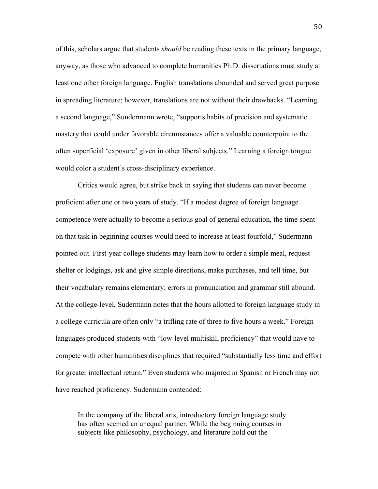of this, scholars argue that students *should* be reading these texts in the primary language, anyway, as those who advanced to complete humanities Ph.D. dissertations must study at least one other foreign language. English translations abounded and served great purpose in spreading literature; however, translations are not without their drawbacks. "Learning a second language," Sundermann wrote, "supports habits of precision and systematic mastery that could under favorable circumstances offer a valuable counterpoint to the often superficial 'exposure' given in other liberal subjects." Learning a foreign tongue would color a student's cross-disciplinary experience.

Critics would agree, but strike back in saying that students can never become proficient after one or two years of study. "If a modest degree of foreign language competence were actually to become a serious goal of general education, the time spent on that task in beginning courses would need to increase at least fourfold," Sudermann pointed out. First-year college students may learn how to order a simple meal, request shelter or lodgings, ask and give simple directions, make purchases, and tell time, but their vocabulary remains elementary; errors in pronunciation and grammar still abound. At the college-level, Sudermann notes that the hours allotted to foreign language study in a college curricula are often only "a trifling rate of three to five hours a week." Foreign languages produced students with "low-level multiskill proficiency" that would have to compete with other humanities disciplines that required "substantially less time and effort for greater intellectual return." Even students who majored in Spanish or French may not have reached proficiency. Sudermann contended:

In the company of the liberal arts, introductory foreign language study has often seemed an unequal partner. While the beginning courses in subjects like philosophy, psychology, and literature hold out the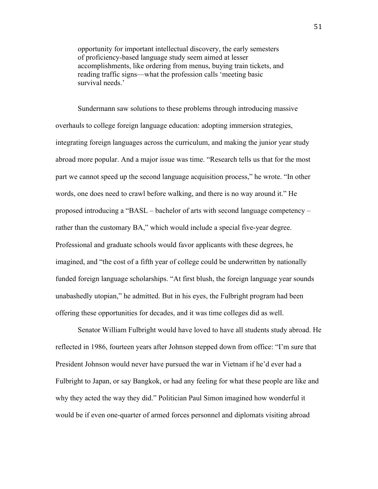opportunity for important intellectual discovery, the early semesters of proficiency-based language study seem aimed at lesser accomplishments, like ordering from menus, buying train tickets, and reading traffic signs—what the profession calls 'meeting basic survival needs<sup>'</sup>

Sundermann saw solutions to these problems through introducing massive overhauls to college foreign language education: adopting immersion strategies, integrating foreign languages across the curriculum, and making the junior year study abroad more popular. And a major issue was time. "Research tells us that for the most part we cannot speed up the second language acquisition process," he wrote. "In other words, one does need to crawl before walking, and there is no way around it." He proposed introducing a "BASL – bachelor of arts with second language competency – rather than the customary BA," which would include a special five-year degree. Professional and graduate schools would favor applicants with these degrees, he imagined, and "the cost of a fifth year of college could be underwritten by nationally funded foreign language scholarships. "At first blush, the foreign language year sounds unabashedly utopian," he admitted. But in his eyes, the Fulbright program had been offering these opportunities for decades, and it was time colleges did as well.

Senator William Fulbright would have loved to have all students study abroad. He reflected in 1986, fourteen years after Johnson stepped down from office: "I'm sure that President Johnson would never have pursued the war in Vietnam if he'd ever had a Fulbright to Japan, or say Bangkok, or had any feeling for what these people are like and why they acted the way they did." Politician Paul Simon imagined how wonderful it would be if even one-quarter of armed forces personnel and diplomats visiting abroad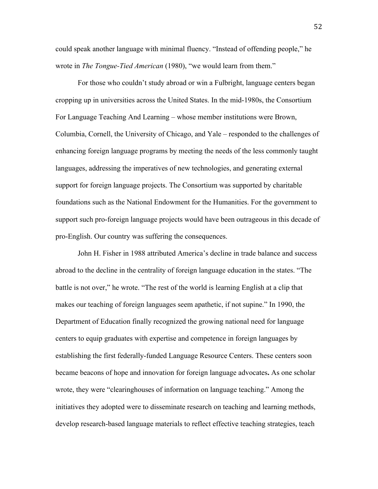could speak another language with minimal fluency. "Instead of offending people," he wrote in *The Tongue-Tied American* (1980), "we would learn from them."

For those who couldn't study abroad or win a Fulbright, language centers began cropping up in universities across the United States. In the mid-1980s, the Consortium For Language Teaching And Learning – whose member institutions were Brown, Columbia, Cornell, the University of Chicago, and Yale – responded to the challenges of enhancing foreign language programs by meeting the needs of the less commonly taught languages, addressing the imperatives of new technologies, and generating external support for foreign language projects. The Consortium was supported by charitable foundations such as the National Endowment for the Humanities. For the government to support such pro-foreign language projects would have been outrageous in this decade of pro-English. Our country was suffering the consequences.

John H. Fisher in 1988 attributed America's decline in trade balance and success abroad to the decline in the centrality of foreign language education in the states. "The battle is not over," he wrote. "The rest of the world is learning English at a clip that makes our teaching of foreign languages seem apathetic, if not supine." In 1990, the Department of Education finally recognized the growing national need for language centers to equip graduates with expertise and competence in foreign languages by establishing the first federally-funded Language Resource Centers. These centers soon became beacons of hope and innovation for foreign language advocates**.** As one scholar wrote, they were "clearinghouses of information on language teaching." Among the initiatives they adopted were to disseminate research on teaching and learning methods, develop research-based language materials to reflect effective teaching strategies, teach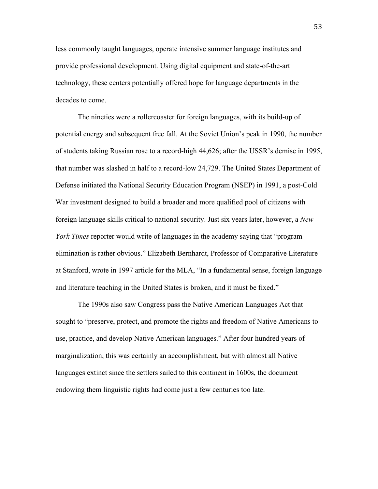less commonly taught languages, operate intensive summer language institutes and provide professional development. Using digital equipment and state-of-the-art technology, these centers potentially offered hope for language departments in the decades to come.

The nineties were a rollercoaster for foreign languages, with its build-up of potential energy and subsequent free fall. At the Soviet Union's peak in 1990, the number of students taking Russian rose to a record-high 44,626; after the USSR's demise in 1995, that number was slashed in half to a record-low 24,729. The United States Department of Defense initiated the National Security Education Program (NSEP) in 1991, a post-Cold War investment designed to build a broader and more qualified pool of citizens with foreign language skills critical to national security. Just six years later, however, a *New York Times* reporter would write of languages in the academy saying that "program" elimination is rather obvious." Elizabeth Bernhardt, Professor of Comparative Literature at Stanford, wrote in 1997 article for the MLA, "In a fundamental sense, foreign language and literature teaching in the United States is broken, and it must be fixed."

The 1990s also saw Congress pass the Native American Languages Act that sought to "preserve, protect, and promote the rights and freedom of Native Americans to use, practice, and develop Native American languages." After four hundred years of marginalization, this was certainly an accomplishment, but with almost all Native languages extinct since the settlers sailed to this continent in 1600s, the document endowing them linguistic rights had come just a few centuries too late.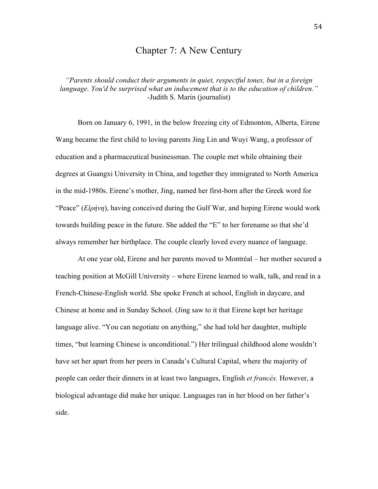### Chapter 7: A New Century

*"Parents should conduct their arguments in quiet, respectful tones, but in a foreign language. You'd be surprised what an inducement that is to the education of children."* -Judith S. Marin (journalist)

Born on January 6, 1991, in the below freezing city of Edmonton, Alberta, Eirene Wang became the first child to loving parents Jing Lin and Wuyi Wang, a professor of education and a pharmaceutical businessman. The couple met while obtaining their degrees at Guangxi University in China, and together they immigrated to North America in the mid-1980s. Eirene's mother, Jing, named her first-born after the Greek word for "Peace" (*Εἰρήνη*), having conceived during the Gulf War, and hoping Eirene would work towards building peace in the future. She added the "E" to her forename so that she'd always remember her birthplace. The couple clearly loved every nuance of language.

At one year old, Eirene and her parents moved to Montréal – her mother secured a teaching position at McGill University – where Eirene learned to walk, talk, and read in a French-Chinese-English world. She spoke French at school, English in daycare, and Chinese at home and in Sunday School. (Jing saw to it that Eirene kept her heritage language alive. "You can negotiate on anything," she had told her daughter, multiple times, "but learning Chinese is unconditional.") Her trilingual childhood alone wouldn't have set her apart from her peers in Canada's Cultural Capital, where the majority of people can order their dinners in at least two languages, English *et francés.* However, a biological advantage did make her unique. Languages ran in her blood on her father's side.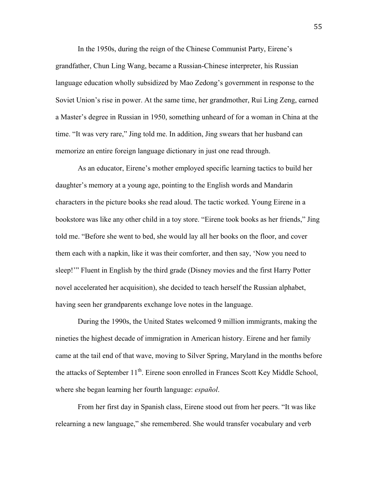In the 1950s, during the reign of the Chinese Communist Party, Eirene's grandfather, Chun Ling Wang, became a Russian-Chinese interpreter, his Russian language education wholly subsidized by Mao Zedong's government in response to the Soviet Union's rise in power. At the same time, her grandmother, Rui Ling Zeng, earned a Master's degree in Russian in 1950, something unheard of for a woman in China at the time. "It was very rare," Jing told me. In addition, Jing swears that her husband can memorize an entire foreign language dictionary in just one read through.

As an educator, Eirene's mother employed specific learning tactics to build her daughter's memory at a young age, pointing to the English words and Mandarin characters in the picture books she read aloud. The tactic worked. Young Eirene in a bookstore was like any other child in a toy store. "Eirene took books as her friends," Jing told me. "Before she went to bed, she would lay all her books on the floor, and cover them each with a napkin, like it was their comforter, and then say, 'Now you need to sleep!'" Fluent in English by the third grade (Disney movies and the first Harry Potter novel accelerated her acquisition), she decided to teach herself the Russian alphabet, having seen her grandparents exchange love notes in the language.

During the 1990s, the United States welcomed 9 million immigrants, making the nineties the highest decade of immigration in American history. Eirene and her family came at the tail end of that wave, moving to Silver Spring, Maryland in the months before the attacks of September  $11<sup>th</sup>$ . Eirene soon enrolled in Frances Scott Key Middle School, where she began learning her fourth language: *español*.

From her first day in Spanish class, Eirene stood out from her peers. "It was like relearning a new language," she remembered. She would transfer vocabulary and verb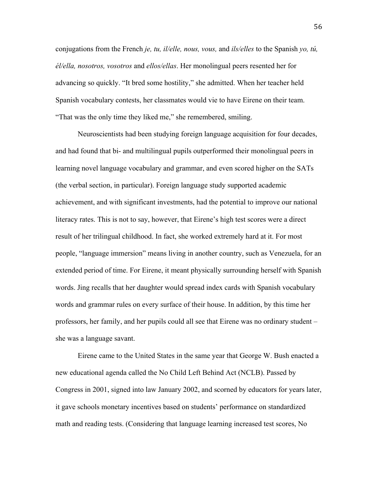conjugations from the French *je, tu, il/elle, nous, vous,* and *ils/elles* to the Spanish *yo, tú, él/ella, nosotros, vosotros* and *ellos/ellas*. Her monolingual peers resented her for advancing so quickly. "It bred some hostility," she admitted. When her teacher held Spanish vocabulary contests, her classmates would vie to have Eirene on their team. "That was the only time they liked me," she remembered, smiling.

Neuroscientists had been studying foreign language acquisition for four decades, and had found that bi- and multilingual pupils outperformed their monolingual peers in learning novel language vocabulary and grammar, and even scored higher on the SATs (the verbal section, in particular). Foreign language study supported academic achievement, and with significant investments, had the potential to improve our national literacy rates. This is not to say, however, that Eirene's high test scores were a direct result of her trilingual childhood. In fact, she worked extremely hard at it. For most people, "language immersion" means living in another country, such as Venezuela, for an extended period of time. For Eirene, it meant physically surrounding herself with Spanish words. Jing recalls that her daughter would spread index cards with Spanish vocabulary words and grammar rules on every surface of their house. In addition, by this time her professors, her family, and her pupils could all see that Eirene was no ordinary student – she was a language savant.

Eirene came to the United States in the same year that George W. Bush enacted a new educational agenda called the No Child Left Behind Act (NCLB). Passed by Congress in 2001, signed into law January 2002, and scorned by educators for years later, it gave schools monetary incentives based on students' performance on standardized math and reading tests. (Considering that language learning increased test scores, No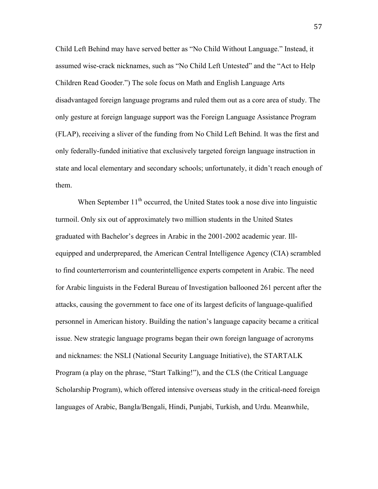Child Left Behind may have served better as "No Child Without Language." Instead, it assumed wise-crack nicknames, such as "No Child Left Untested" and the "Act to Help Children Read Gooder.") The sole focus on Math and English Language Arts disadvantaged foreign language programs and ruled them out as a core area of study. The only gesture at foreign language support was the Foreign Language Assistance Program (FLAP), receiving a sliver of the funding from No Child Left Behind. It was the first and only federally-funded initiative that exclusively targeted foreign language instruction in state and local elementary and secondary schools; unfortunately, it didn't reach enough of them.

When September  $11<sup>th</sup>$  occurred, the United States took a nose dive into linguistic turmoil. Only six out of approximately two million students in the United States graduated with Bachelor's degrees in Arabic in the 2001-2002 academic year. Illequipped and underprepared, the American Central Intelligence Agency (CIA) scrambled to find counterterrorism and counterintelligence experts competent in Arabic. The need for Arabic linguists in the Federal Bureau of Investigation ballooned 261 percent after the attacks, causing the government to face one of its largest deficits of language-qualified personnel in American history. Building the nation's language capacity became a critical issue. New strategic language programs began their own foreign language of acronyms and nicknames: the NSLI (National Security Language Initiative), the STARTALK Program (a play on the phrase, "Start Talking!"), and the CLS (the Critical Language Scholarship Program), which offered intensive overseas study in the critical-need foreign languages of Arabic, Bangla/Bengali, Hindi, Punjabi, Turkish, and Urdu. Meanwhile,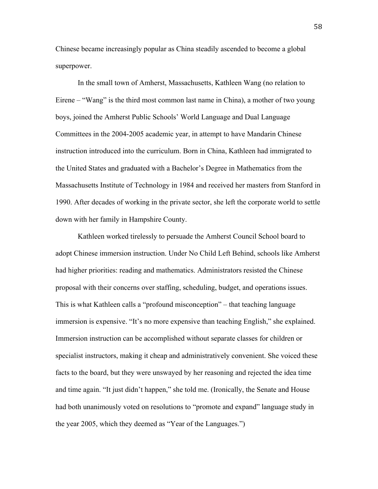Chinese became increasingly popular as China steadily ascended to become a global superpower.

In the small town of Amherst, Massachusetts, Kathleen Wang (no relation to Eirene – "Wang" is the third most common last name in China), a mother of two young boys, joined the Amherst Public Schools' World Language and Dual Language Committees in the 2004-2005 academic year, in attempt to have Mandarin Chinese instruction introduced into the curriculum. Born in China, Kathleen had immigrated to the United States and graduated with a Bachelor's Degree in Mathematics from the Massachusetts Institute of Technology in 1984 and received her masters from Stanford in 1990. After decades of working in the private sector, she left the corporate world to settle down with her family in Hampshire County.

Kathleen worked tirelessly to persuade the Amherst Council School board to adopt Chinese immersion instruction. Under No Child Left Behind, schools like Amherst had higher priorities: reading and mathematics. Administrators resisted the Chinese proposal with their concerns over staffing, scheduling, budget, and operations issues. This is what Kathleen calls a "profound misconception" – that teaching language immersion is expensive. "It's no more expensive than teaching English," she explained. Immersion instruction can be accomplished without separate classes for children or specialist instructors, making it cheap and administratively convenient. She voiced these facts to the board, but they were unswayed by her reasoning and rejected the idea time and time again. "It just didn't happen," she told me. (Ironically, the Senate and House had both unanimously voted on resolutions to "promote and expand" language study in the year 2005, which they deemed as "Year of the Languages.")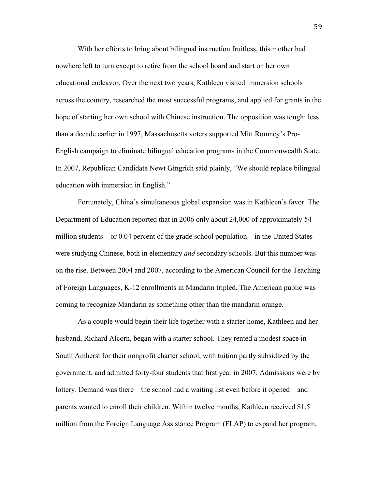With her efforts to bring about bilingual instruction fruitless, this mother had nowhere left to turn except to retire from the school board and start on her own educational endeavor. Over the next two years, Kathleen visited immersion schools across the country, researched the most successful programs, and applied for grants in the hope of starting her own school with Chinese instruction. The opposition was tough: less than a decade earlier in 1997, Massachusetts voters supported Mitt Romney's Pro-English campaign to eliminate bilingual education programs in the Commonwealth State. In 2007, Republican Candidate Newt Gingrich said plainly, "We should replace bilingual education with immersion in English."

Fortunately, China's simultaneous global expansion was in Kathleen's favor. The Department of Education reported that in 2006 only about 24,000 of approximately 54 million students – or 0.04 percent of the grade school population – in the United States were studying Chinese, both in elementary *and* secondary schools. But this number was on the rise. Between 2004 and 2007, according to the American Council for the Teaching of Foreign Languages, K-12 enrollments in Mandarin tripled. The American public was coming to recognize Mandarin as something other than the mandarin orange.

As a couple would begin their life together with a starter home, Kathleen and her husband, Richard Alcorn, began with a starter school. They rented a modest space in South Amherst for their nonprofit charter school, with tuition partly subsidized by the government, and admitted forty-four students that first year in 2007. Admissions were by lottery. Demand was there – the school had a waiting list even before it opened – and parents wanted to enroll their children. Within twelve months, Kathleen received \$1.5 million from the Foreign Language Assistance Program (FLAP) to expand her program,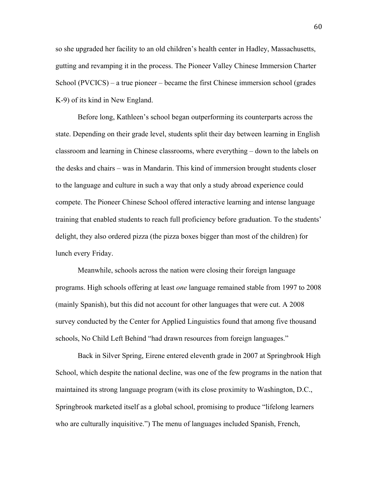so she upgraded her facility to an old children's health center in Hadley, Massachusetts, gutting and revamping it in the process. The Pioneer Valley Chinese Immersion Charter School (PVCICS) – a true pioneer – became the first Chinese immersion school (grades K-9) of its kind in New England.

Before long, Kathleen's school began outperforming its counterparts across the state. Depending on their grade level, students split their day between learning in English classroom and learning in Chinese classrooms, where everything – down to the labels on the desks and chairs – was in Mandarin. This kind of immersion brought students closer to the language and culture in such a way that only a study abroad experience could compete. The Pioneer Chinese School offered interactive learning and intense language training that enabled students to reach full proficiency before graduation. To the students' delight, they also ordered pizza (the pizza boxes bigger than most of the children) for lunch every Friday.

Meanwhile, schools across the nation were closing their foreign language programs. High schools offering at least *one* language remained stable from 1997 to 2008 (mainly Spanish), but this did not account for other languages that were cut. A 2008 survey conducted by the Center for Applied Linguistics found that among five thousand schools, No Child Left Behind "had drawn resources from foreign languages."

Back in Silver Spring, Eirene entered eleventh grade in 2007 at Springbrook High School, which despite the national decline, was one of the few programs in the nation that maintained its strong language program (with its close proximity to Washington, D.C., Springbrook marketed itself as a global school, promising to produce "lifelong learners who are culturally inquisitive.") The menu of languages included Spanish, French,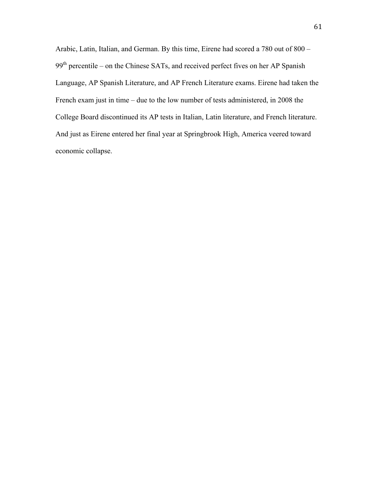Arabic, Latin, Italian, and German. By this time, Eirene had scored a 780 out of 800 – 99<sup>th</sup> percentile – on the Chinese SATs, and received perfect fives on her AP Spanish Language, AP Spanish Literature, and AP French Literature exams. Eirene had taken the French exam just in time – due to the low number of tests administered, in 2008 the College Board discontinued its AP tests in Italian, Latin literature, and French literature. And just as Eirene entered her final year at Springbrook High, America veered toward economic collapse.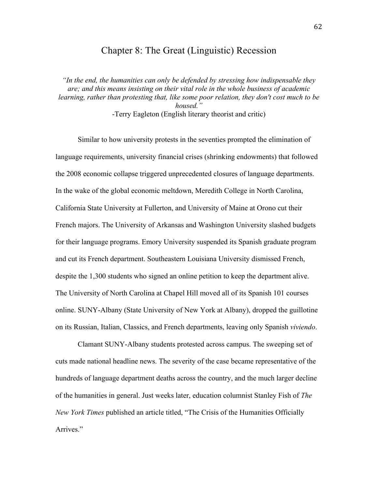## Chapter 8: The Great (Linguistic) Recession

*"In the end, the humanities can only be defended by stressing how indispensable they are; and this means insisting on their vital role in the whole business of academic learning, rather than protesting that, like some poor relation, they don't cost much to be housed."* -Terry Eagleton (English literary theorist and critic)

Similar to how university protests in the seventies prompted the elimination of language requirements, university financial crises (shrinking endowments) that followed the 2008 economic collapse triggered unprecedented closures of language departments. In the wake of the global economic meltdown, Meredith College in North Carolina, California State University at Fullerton, and University of Maine at Orono cut their French majors. The University of Arkansas and Washington University slashed budgets for their language programs. Emory University suspended its Spanish graduate program and cut its French department. Southeastern Louisiana University dismissed French, despite the 1,300 students who signed an online petition to keep the department alive. The University of North Carolina at Chapel Hill moved all of its Spanish 101 courses online. SUNY-Albany (State University of New York at Albany), dropped the guillotine on its Russian, Italian, Classics, and French departments, leaving only Spanish *viviendo*.

Clamant SUNY-Albany students protested across campus. The sweeping set of cuts made national headline news. The severity of the case became representative of the hundreds of language department deaths across the country, and the much larger decline of the humanities in general. Just weeks later, education columnist Stanley Fish of *The New York Times* published an article titled, "The Crisis of the Humanities Officially Arrives<sup>"</sup>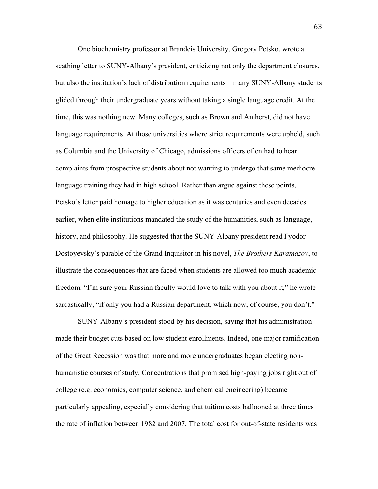One biochemistry professor at Brandeis University, Gregory Petsko, wrote a scathing letter to SUNY-Albany's president, criticizing not only the department closures, but also the institution's lack of distribution requirements – many SUNY-Albany students glided through their undergraduate years without taking a single language credit. At the time, this was nothing new. Many colleges, such as Brown and Amherst, did not have language requirements. At those universities where strict requirements were upheld, such as Columbia and the University of Chicago, admissions officers often had to hear complaints from prospective students about not wanting to undergo that same mediocre language training they had in high school. Rather than argue against these points, Petsko's letter paid homage to higher education as it was centuries and even decades earlier, when elite institutions mandated the study of the humanities, such as language, history, and philosophy. He suggested that the SUNY-Albany president read Fyodor Dostoyevsky's parable of the Grand Inquisitor in his novel, *The Brothers Karamazov*, to illustrate the consequences that are faced when students are allowed too much academic freedom. "I'm sure your Russian faculty would love to talk with you about it," he wrote sarcastically, "if only you had a Russian department, which now, of course, you don't."

SUNY-Albany's president stood by his decision, saying that his administration made their budget cuts based on low student enrollments. Indeed, one major ramification of the Great Recession was that more and more undergraduates began electing nonhumanistic courses of study. Concentrations that promised high-paying jobs right out of college (e.g. economics, computer science, and chemical engineering) became particularly appealing, especially considering that tuition costs ballooned at three times the rate of inflation between 1982 and 2007. The total cost for out-of-state residents was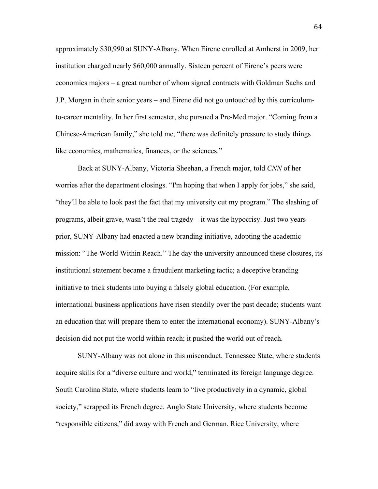approximately \$30,990 at SUNY-Albany. When Eirene enrolled at Amherst in 2009, her institution charged nearly \$60,000 annually. Sixteen percent of Eirene's peers were economics majors – a great number of whom signed contracts with Goldman Sachs and J.P. Morgan in their senior years – and Eirene did not go untouched by this curriculumto-career mentality. In her first semester, she pursued a Pre-Med major. "Coming from a Chinese-American family," she told me, "there was definitely pressure to study things like economics, mathematics, finances, or the sciences."

Back at SUNY-Albany, Victoria Sheehan, a French major, told *CNN* of her worries after the department closings. "I'm hoping that when I apply for jobs," she said, "they'll be able to look past the fact that my university cut my program." The slashing of programs, albeit grave, wasn't the real tragedy – it was the hypocrisy. Just two years prior, SUNY-Albany had enacted a new branding initiative, adopting the academic mission: "The World Within Reach." The day the university announced these closures, its institutional statement became a fraudulent marketing tactic; a deceptive branding initiative to trick students into buying a falsely global education. (For example, international business applications have risen steadily over the past decade; students want an education that will prepare them to enter the international economy). SUNY-Albany's decision did not put the world within reach; it pushed the world out of reach.

SUNY-Albany was not alone in this misconduct. Tennessee State, where students acquire skills for a "diverse culture and world," terminated its foreign language degree. South Carolina State, where students learn to "live productively in a dynamic, global society," scrapped its French degree. Anglo State University, where students become "responsible citizens," did away with French and German. Rice University, where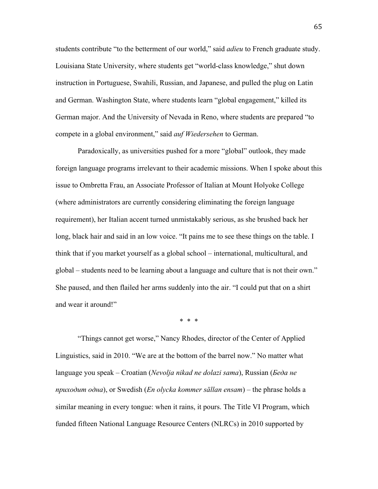students contribute "to the betterment of our world," said *adieu* to French graduate study. Louisiana State University, where students get "world-class knowledge," shut down instruction in Portuguese, Swahili, Russian, and Japanese, and pulled the plug on Latin and German. Washington State, where students learn "global engagement," killed its German major. And the University of Nevada in Reno, where students are prepared "to compete in a global environment," said *auf Wiedersehen* to German.

Paradoxically, as universities pushed for a more "global" outlook, they made foreign language programs irrelevant to their academic missions. When I spoke about this issue to Ombretta Frau, an Associate Professor of Italian at Mount Holyoke College (where administrators are currently considering eliminating the foreign language requirement), her Italian accent turned unmistakably serious, as she brushed back her long, black hair and said in an low voice. "It pains me to see these things on the table. I think that if you market yourself as a global school – international, multicultural, and global – students need to be learning about a language and culture that is not their own." She paused, and then flailed her arms suddenly into the air. "I could put that on a shirt and wear it around!"

\* \* \*

"Things cannot get worse," Nancy Rhodes, director of the Center of Applied Linguistics, said in 2010. "We are at the bottom of the barrel now." No matter what language you speak – Croatian (*Nevolja nikad ne dolazi sama*), Russian (*Беда не приходит одна*), or Swedish (*En olycka kommer sällan ensam*) – the phrase holds a similar meaning in every tongue: when it rains, it pours. The Title VI Program, which funded fifteen National Language Resource Centers (NLRCs) in 2010 supported by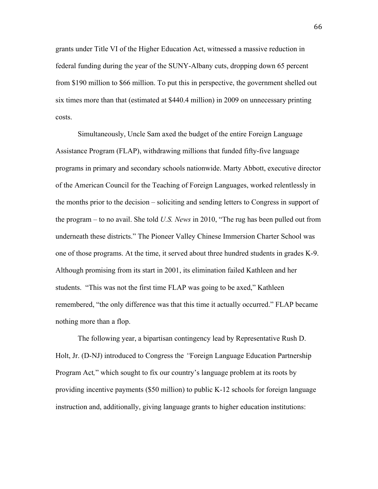grants under Title VI of the Higher Education Act, witnessed a massive reduction in federal funding during the year of the SUNY-Albany cuts, dropping down 65 percent from \$190 million to \$66 million. To put this in perspective, the government shelled out six times more than that (estimated at \$440.4 million) in 2009 on unnecessary printing costs.

Simultaneously, Uncle Sam axed the budget of the entire Foreign Language Assistance Program (FLAP), withdrawing millions that funded fifty-five language programs in primary and secondary schools nationwide. Marty Abbott, executive director of the American Council for the Teaching of Foreign Languages, worked relentlessly in the months prior to the decision – soliciting and sending letters to Congress in support of the program – to no avail. She told *U.S. News* in 2010, "The rug has been pulled out from underneath these districts." The Pioneer Valley Chinese Immersion Charter School was one of those programs. At the time, it served about three hundred students in grades K-9. Although promising from its start in 2001, its elimination failed Kathleen and her students. "This was not the first time FLAP was going to be axed," Kathleen remembered, "the only difference was that this time it actually occurred." FLAP became nothing more than a flop.

The following year, a bipartisan contingency lead by Representative Rush D. Holt, Jr. (D-NJ) introduced to Congress the *"*Foreign Language Education Partnership Program Act*,*" which sought to fix our country's language problem at its roots by providing incentive payments (\$50 million) to public K-12 schools for foreign language instruction and, additionally, giving language grants to higher education institutions: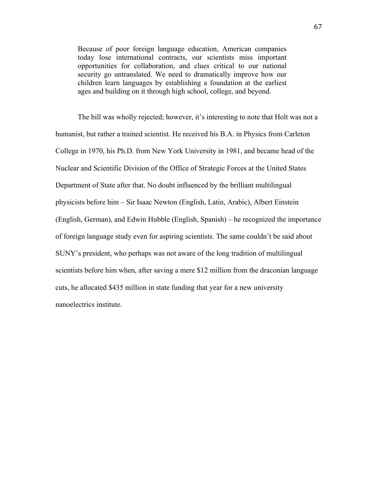Because of poor foreign language education, American companies today lose international contracts, our scientists miss important opportunities for collaboration, and clues critical to our national security go untranslated. We need to dramatically improve how our children learn languages by establishing a foundation at the earliest ages and building on it through high school, college, and beyond.

The bill was wholly rejected; however, it's interesting to note that Holt was not a humanist, but rather a trained scientist. He received his B.A. in Physics from Carleton College in 1970, his Ph.D. from New York University in 1981, and became head of the Nuclear and Scientific Division of the Office of Strategic Forces at the United States Department of State after that. No doubt influenced by the brilliant multilingual physicists before him – Sir Isaac Newton (English, Latin, Arabic), Albert Einstein (English, German), and Edwin Hubble (English, Spanish) – he recognized the importance of foreign language study even for aspiring scientists. The same couldn't be said about SUNY's president, who perhaps was not aware of the long tradition of multilingual scientists before him when, after saving a mere \$12 million from the draconian language cuts, he allocated \$435 million in state funding that year for a new university nanoelectrics institute.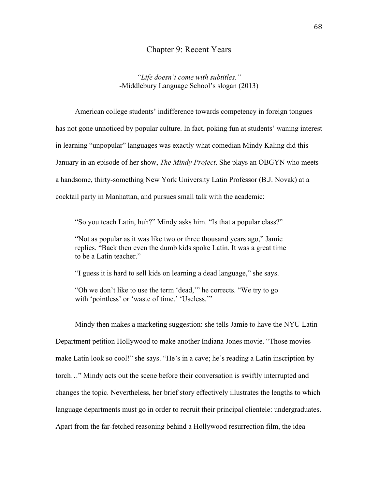#### Chapter 9: Recent Years

*"Life doesn't come with subtitles."* -Middlebury Language School's slogan (2013)

American college students' indifference towards competency in foreign tongues has not gone unnoticed by popular culture. In fact, poking fun at students' waning interest in learning "unpopular" languages was exactly what comedian Mindy Kaling did this January in an episode of her show, *The Mindy Project*. She plays an OBGYN who meets a handsome, thirty-something New York University Latin Professor (B.J. Novak) at a cocktail party in Manhattan, and pursues small talk with the academic:

"So you teach Latin, huh?" Mindy asks him. "Is that a popular class?"

"Not as popular as it was like two or three thousand years ago," Jamie replies. "Back then even the dumb kids spoke Latin. It was a great time to be a Latin teacher."

"I guess it is hard to sell kids on learning a dead language," she says.

"Oh we don't like to use the term 'dead,'" he corrects. "We try to go with 'pointless' or 'waste of time.' 'Useless.'"

Mindy then makes a marketing suggestion: she tells Jamie to have the NYU Latin Department petition Hollywood to make another Indiana Jones movie. "Those movies make Latin look so cool!" she says. "He's in a cave; he's reading a Latin inscription by torch…" Mindy acts out the scene before their conversation is swiftly interrupted and changes the topic. Nevertheless, her brief story effectively illustrates the lengths to which language departments must go in order to recruit their principal clientele: undergraduates. Apart from the far-fetched reasoning behind a Hollywood resurrection film, the idea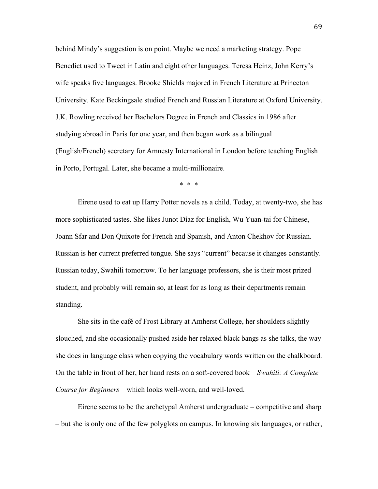behind Mindy's suggestion is on point. Maybe we need a marketing strategy. Pope Benedict used to Tweet in Latin and eight other languages. Teresa Heinz, John Kerry's wife speaks five languages. Brooke Shields majored in French Literature at Princeton University. Kate Beckingsale studied French and Russian Literature at Oxford University. J.K. Rowling received her Bachelors Degree in French and Classics in 1986 after studying abroad in Paris for one year, and then began work as a bilingual (English/French) secretary for Amnesty International in London before teaching English in Porto, Portugal. Later, she became a multi-millionaire.

\* \* \*

Eirene used to eat up Harry Potter novels as a child. Today, at twenty-two, she has more sophisticated tastes. She likes Junot Díaz for English, Wu Yuan-tai for Chinese, Joann Sfar and Don Quixote for French and Spanish, and Anton Chekhov for Russian. Russian is her current preferred tongue. She says "current" because it changes constantly. Russian today, Swahili tomorrow. To her language professors, she is their most prized student, and probably will remain so, at least for as long as their departments remain standing.

She sits in the café of Frost Library at Amherst College, her shoulders slightly slouched, and she occasionally pushed aside her relaxed black bangs as she talks, the way she does in language class when copying the vocabulary words written on the chalkboard. On the table in front of her, her hand rests on a soft-covered book – *Swahili: A Complete Course for Beginners* – which looks well-worn, and well-loved.

Eirene seems to be the archetypal Amherst undergraduate – competitive and sharp – but she is only one of the few polyglots on campus. In knowing six languages, or rather,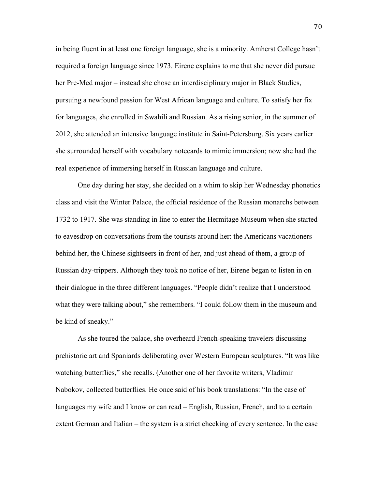in being fluent in at least one foreign language, she is a minority. Amherst College hasn't required a foreign language since 1973. Eirene explains to me that she never did pursue her Pre-Med major – instead she chose an interdisciplinary major in Black Studies, pursuing a newfound passion for West African language and culture. To satisfy her fix for languages, she enrolled in Swahili and Russian. As a rising senior, in the summer of 2012, she attended an intensive language institute in Saint-Petersburg. Six years earlier she surrounded herself with vocabulary notecards to mimic immersion; now she had the real experience of immersing herself in Russian language and culture.

One day during her stay, she decided on a whim to skip her Wednesday phonetics class and visit the Winter Palace, the official residence of the Russian monarchs between 1732 to 1917. She was standing in line to enter the Hermitage Museum when she started to eavesdrop on conversations from the tourists around her: the Americans vacationers behind her, the Chinese sightseers in front of her, and just ahead of them, a group of Russian day-trippers. Although they took no notice of her, Eirene began to listen in on their dialogue in the three different languages. "People didn't realize that I understood what they were talking about," she remembers. "I could follow them in the museum and be kind of sneaky."

As she toured the palace, she overheard French-speaking travelers discussing prehistoric art and Spaniards deliberating over Western European sculptures. "It was like watching butterflies," she recalls. (Another one of her favorite writers, Vladimir Nabokov, collected butterflies. He once said of his book translations: "In the case of languages my wife and I know or can read – English, Russian, French, and to a certain extent German and Italian – the system is a strict checking of every sentence. In the case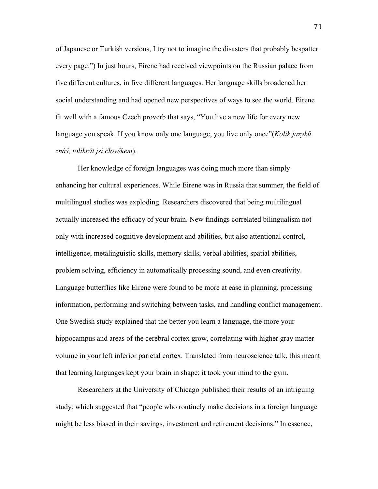of Japanese or Turkish versions, I try not to imagine the disasters that probably bespatter every page.") In just hours, Eirene had received viewpoints on the Russian palace from five different cultures, in five different languages. Her language skills broadened her social understanding and had opened new perspectives of ways to see the world. Eirene fit well with a famous Czech proverb that says, "You live a new life for every new language you speak. If you know only one language, you live only once"(*Kolik jazyků znáš, tolikrát jsi člověkem*).

Her knowledge of foreign languages was doing much more than simply enhancing her cultural experiences. While Eirene was in Russia that summer, the field of multilingual studies was exploding. Researchers discovered that being multilingual actually increased the efficacy of your brain. New findings correlated bilingualism not only with increased cognitive development and abilities, but also attentional control, intelligence, metalinguistic skills, memory skills, verbal abilities, spatial abilities, problem solving, efficiency in automatically processing sound, and even creativity. Language butterflies like Eirene were found to be more at ease in planning, processing information, performing and switching between tasks, and handling conflict management. One Swedish study explained that the better you learn a language, the more your hippocampus and areas of the cerebral cortex grow, correlating with higher gray matter volume in your left inferior parietal cortex. Translated from neuroscience talk, this meant that learning languages kept your brain in shape; it took your mind to the gym.

Researchers at the University of Chicago published their results of an intriguing study, which suggested that "people who routinely make decisions in a foreign language might be less biased in their savings, investment and retirement decisions." In essence,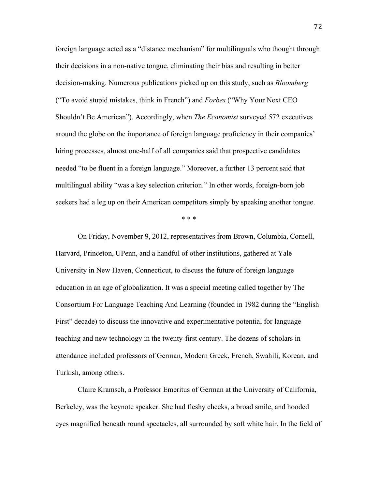foreign language acted as a "distance mechanism" for multilinguals who thought through their decisions in a non-native tongue, eliminating their bias and resulting in better decision-making. Numerous publications picked up on this study, such as *Bloomberg* ("To avoid stupid mistakes, think in French") and *Forbes* ("Why Your Next CEO Shouldn't Be American"). Accordingly, when *The Economist* surveyed 572 executives around the globe on the importance of foreign language proficiency in their companies' hiring processes, almost one-half of all companies said that prospective candidates needed "to be fluent in a foreign language." Moreover, a further 13 percent said that multilingual ability "was a key selection criterion." In other words, foreign-born job seekers had a leg up on their American competitors simply by speaking another tongue.

\* \* \*

On Friday, November 9, 2012, representatives from Brown, Columbia, Cornell, Harvard, Princeton, UPenn, and a handful of other institutions, gathered at Yale University in New Haven, Connecticut, to discuss the future of foreign language education in an age of globalization. It was a special meeting called together by The Consortium For Language Teaching And Learning (founded in 1982 during the "English First" decade) to discuss the innovative and experimentative potential for language teaching and new technology in the twenty-first century. The dozens of scholars in attendance included professors of German, Modern Greek, French, Swahili, Korean, and Turkish, among others.

Claire Kramsch, a Professor Emeritus of German at the University of California, Berkeley, was the keynote speaker. She had fleshy cheeks, a broad smile, and hooded eyes magnified beneath round spectacles, all surrounded by soft white hair. In the field of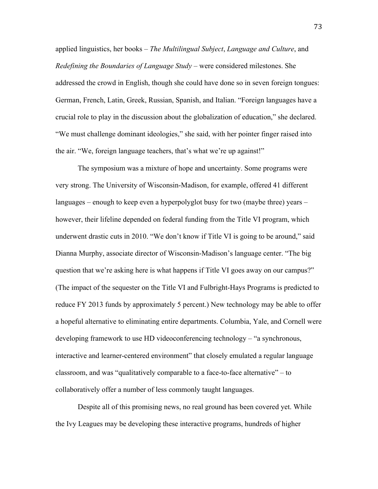applied linguistics, her books – *The Multilingual Subject*, *Language and Culture*, and *Redefining the Boundaries of Language Study* – were considered milestones. She addressed the crowd in English, though she could have done so in seven foreign tongues: German, French, Latin, Greek, Russian, Spanish, and Italian. "Foreign languages have a crucial role to play in the discussion about the globalization of education," she declared. "We must challenge dominant ideologies," she said, with her pointer finger raised into the air. "We, foreign language teachers, that's what we're up against!"

The symposium was a mixture of hope and uncertainty. Some programs were very strong. The University of Wisconsin-Madison, for example, offered 41 different languages – enough to keep even a hyperpolyglot busy for two (maybe three) years – however, their lifeline depended on federal funding from the Title VI program, which underwent drastic cuts in 2010. "We don't know if Title VI is going to be around," said Dianna Murphy, associate director of Wisconsin-Madison's language center. "The big question that we're asking here is what happens if Title VI goes away on our campus?" (The impact of the sequester on the Title VI and Fulbright-Hays Programs is predicted to reduce FY 2013 funds by approximately 5 percent.) New technology may be able to offer a hopeful alternative to eliminating entire departments. Columbia, Yale, and Cornell were developing framework to use HD videoconferencing technology – "a synchronous, interactive and learner-centered environment" that closely emulated a regular language classroom, and was "qualitatively comparable to a face-to-face alternative" – to collaboratively offer a number of less commonly taught languages.

Despite all of this promising news, no real ground has been covered yet. While the Ivy Leagues may be developing these interactive programs, hundreds of higher

73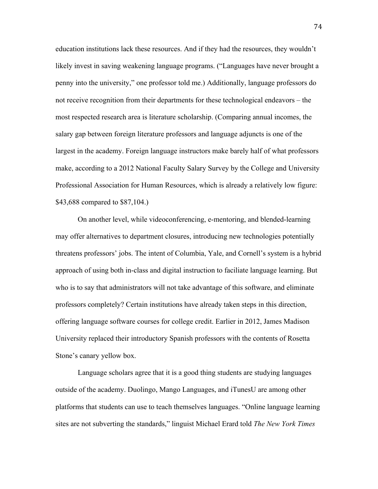education institutions lack these resources. And if they had the resources, they wouldn't likely invest in saving weakening language programs. ("Languages have never brought a penny into the university," one professor told me.) Additionally, language professors do not receive recognition from their departments for these technological endeavors – the most respected research area is literature scholarship. (Comparing annual incomes, the salary gap between foreign literature professors and language adjuncts is one of the largest in the academy. Foreign language instructors make barely half of what professors make, according to a 2012 National Faculty Salary Survey by the College and University Professional Association for Human Resources, which is already a relatively low figure: \$43,688 compared to \$87,104.)

On another level, while videoconferencing, e-mentoring, and blended-learning may offer alternatives to department closures, introducing new technologies potentially threatens professors' jobs. The intent of Columbia, Yale, and Cornell's system is a hybrid approach of using both in-class and digital instruction to faciliate language learning. But who is to say that administrators will not take advantage of this software, and eliminate professors completely? Certain institutions have already taken steps in this direction, offering language software courses for college credit. Earlier in 2012, James Madison University replaced their introductory Spanish professors with the contents of Rosetta Stone's canary yellow box.

Language scholars agree that it is a good thing students are studying languages outside of the academy. Duolingo, Mango Languages, and iTunesU are among other platforms that students can use to teach themselves languages. "Online language learning sites are not subverting the standards," linguist Michael Erard told *The New York Times*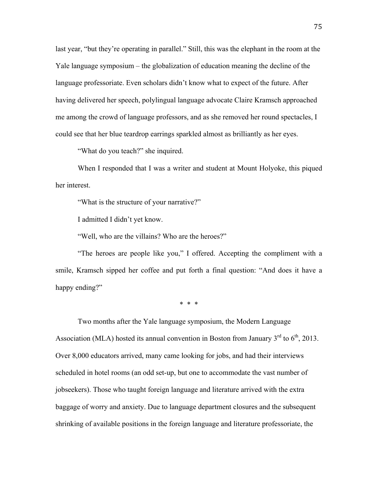last year, "but they're operating in parallel." Still, this was the elephant in the room at the Yale language symposium – the globalization of education meaning the decline of the language professoriate. Even scholars didn't know what to expect of the future. After having delivered her speech, polylingual language advocate Claire Kramsch approached me among the crowd of language professors, and as she removed her round spectacles, I could see that her blue teardrop earrings sparkled almost as brilliantly as her eyes.

"What do you teach?" she inquired.

When I responded that I was a writer and student at Mount Holyoke, this piqued her interest.

"What is the structure of your narrative?"

I admitted I didn't yet know.

"Well, who are the villains? Who are the heroes?"

"The heroes are people like you," I offered. Accepting the compliment with a smile, Kramsch sipped her coffee and put forth a final question: "And does it have a happy ending?"

\* \* \*

Two months after the Yale language symposium, the Modern Language Association (MLA) hosted its annual convention in Boston from January  $3<sup>rd</sup>$  to  $6<sup>th</sup>$ , 2013. Over 8,000 educators arrived, many came looking for jobs, and had their interviews scheduled in hotel rooms (an odd set-up, but one to accommodate the vast number of jobseekers). Those who taught foreign language and literature arrived with the extra baggage of worry and anxiety. Due to language department closures and the subsequent shrinking of available positions in the foreign language and literature professoriate, the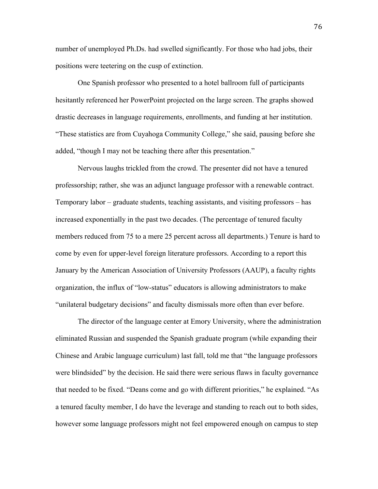number of unemployed Ph.Ds. had swelled significantly. For those who had jobs, their positions were teetering on the cusp of extinction.

One Spanish professor who presented to a hotel ballroom full of participants hesitantly referenced her PowerPoint projected on the large screen. The graphs showed drastic decreases in language requirements, enrollments, and funding at her institution. "These statistics are from Cuyahoga Community College," she said, pausing before she added, "though I may not be teaching there after this presentation."

Nervous laughs trickled from the crowd. The presenter did not have a tenured professorship; rather, she was an adjunct language professor with a renewable contract. Temporary labor – graduate students, teaching assistants, and visiting professors – has increased exponentially in the past two decades. (The percentage of tenured faculty members reduced from 75 to a mere 25 percent across all departments.) Tenure is hard to come by even for upper-level foreign literature professors. According to a report this January by the American Association of University Professors (AAUP), a faculty rights organization, the influx of "low-status" educators is allowing administrators to make "unilateral budgetary decisions" and faculty dismissals more often than ever before.

The director of the language center at Emory University, where the administration eliminated Russian and suspended the Spanish graduate program (while expanding their Chinese and Arabic language curriculum) last fall, told me that "the language professors were blindsided" by the decision. He said there were serious flaws in faculty governance that needed to be fixed. "Deans come and go with different priorities," he explained. "As a tenured faculty member, I do have the leverage and standing to reach out to both sides, however some language professors might not feel empowered enough on campus to step

76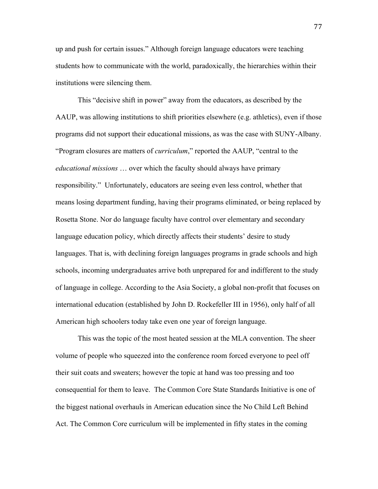up and push for certain issues." Although foreign language educators were teaching students how to communicate with the world, paradoxically, the hierarchies within their institutions were silencing them.

This "decisive shift in power" away from the educators, as described by the AAUP, was allowing institutions to shift priorities elsewhere (e.g. athletics), even if those programs did not support their educational missions, as was the case with SUNY-Albany. "Program closures are matters of *curriculum*," reported the AAUP, "central to the *educational missions* … over which the faculty should always have primary responsibility." Unfortunately, educators are seeing even less control, whether that means losing department funding, having their programs eliminated, or being replaced by Rosetta Stone. Nor do language faculty have control over elementary and secondary language education policy, which directly affects their students' desire to study languages. That is, with declining foreign languages programs in grade schools and high schools, incoming undergraduates arrive both unprepared for and indifferent to the study of language in college. According to the Asia Society, a global non-profit that focuses on international education (established by John D. Rockefeller III in 1956), only half of all American high schoolers today take even one year of foreign language.

This was the topic of the most heated session at the MLA convention. The sheer volume of people who squeezed into the conference room forced everyone to peel off their suit coats and sweaters; however the topic at hand was too pressing and too consequential for them to leave. The Common Core State Standards Initiative is one of the biggest national overhauls in American education since the No Child Left Behind Act. The Common Core curriculum will be implemented in fifty states in the coming

77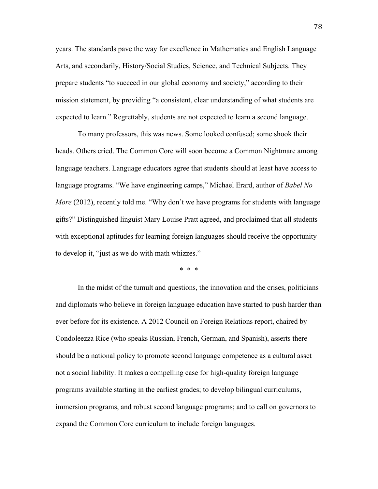years. The standards pave the way for excellence in Mathematics and English Language Arts, and secondarily, History/Social Studies, Science, and Technical Subjects. They prepare students "to succeed in our global economy and society," according to their mission statement, by providing "a consistent, clear understanding of what students are expected to learn." Regrettably, students are not expected to learn a second language.

To many professors, this was news. Some looked confused; some shook their heads. Others cried. The Common Core will soon become a Common Nightmare among language teachers. Language educators agree that students should at least have access to language programs. "We have engineering camps," Michael Erard, author of *Babel No More* (2012), recently told me. "Why don't we have programs for students with language gifts?" Distinguished linguist Mary Louise Pratt agreed, and proclaimed that all students with exceptional aptitudes for learning foreign languages should receive the opportunity to develop it, "just as we do with math whizzes."

\* \* \*

In the midst of the tumult and questions, the innovation and the crises, politicians and diplomats who believe in foreign language education have started to push harder than ever before for its existence. A 2012 Council on Foreign Relations report, chaired by Condoleezza Rice (who speaks Russian, French, German, and Spanish), asserts there should be a national policy to promote second language competence as a cultural asset – not a social liability. It makes a compelling case for high-quality foreign language programs available starting in the earliest grades; to develop bilingual curriculums, immersion programs, and robust second language programs; and to call on governors to expand the Common Core curriculum to include foreign languages.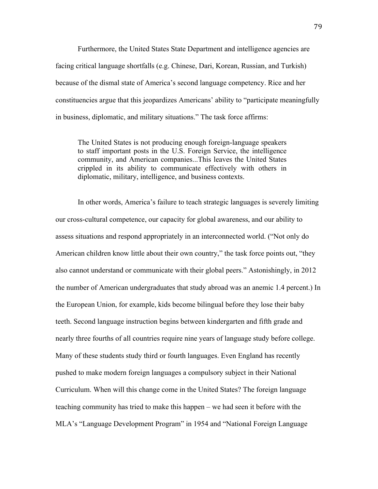Furthermore, the United States State Department and intelligence agencies are facing critical language shortfalls (e.g. Chinese, Dari, Korean, Russian, and Turkish) because of the dismal state of America's second language competency. Rice and her constituencies argue that this jeopardizes Americans' ability to "participate meaningfully in business, diplomatic, and military situations." The task force affirms:

The United States is not producing enough foreign-language speakers to staff important posts in the U.S. Foreign Service, the intelligence community, and American companies...This leaves the United States crippled in its ability to communicate effectively with others in diplomatic, military, intelligence, and business contexts.

In other words, America's failure to teach strategic languages is severely limiting our cross-cultural competence, our capacity for global awareness, and our ability to assess situations and respond appropriately in an interconnected world. ("Not only do American children know little about their own country," the task force points out, "they also cannot understand or communicate with their global peers." Astonishingly, in 2012 the number of American undergraduates that study abroad was an anemic 1.4 percent.) In the European Union, for example, kids become bilingual before they lose their baby teeth. Second language instruction begins between kindergarten and fifth grade and nearly three fourths of all countries require nine years of language study before college. Many of these students study third or fourth languages. Even England has recently pushed to make modern foreign languages a compulsory subject in their National Curriculum. When will this change come in the United States? The foreign language teaching community has tried to make this happen – we had seen it before with the MLA's "Language Development Program" in 1954 and "National Foreign Language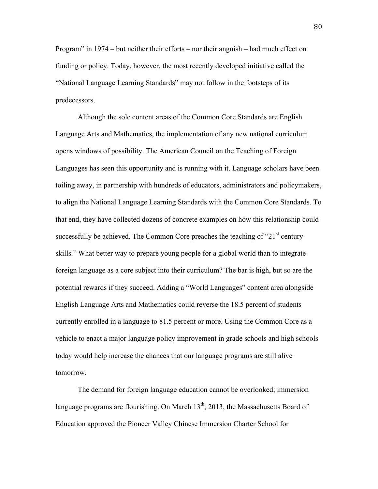Program" in 1974 – but neither their efforts – nor their anguish – had much effect on funding or policy. Today, however, the most recently developed initiative called the "National Language Learning Standards" may not follow in the footsteps of its predecessors.

Although the sole content areas of the Common Core Standards are English Language Arts and Mathematics, the implementation of any new national curriculum opens windows of possibility. The American Council on the Teaching of Foreign Languages has seen this opportunity and is running with it. Language scholars have been toiling away, in partnership with hundreds of educators, administrators and policymakers, to align the National Language Learning Standards with the Common Core Standards. To that end, they have collected dozens of concrete examples on how this relationship could successfully be achieved. The Common Core preaches the teaching of " $21<sup>st</sup>$  century skills." What better way to prepare young people for a global world than to integrate foreign language as a core subject into their curriculum? The bar is high, but so are the potential rewards if they succeed. Adding a "World Languages" content area alongside English Language Arts and Mathematics could reverse the 18.5 percent of students currently enrolled in a language to 81.5 percent or more. Using the Common Core as a vehicle to enact a major language policy improvement in grade schools and high schools today would help increase the chances that our language programs are still alive tomorrow.

The demand for foreign language education cannot be overlooked; immersion language programs are flourishing. On March  $13<sup>th</sup>$ , 2013, the Massachusetts Board of Education approved the Pioneer Valley Chinese Immersion Charter School for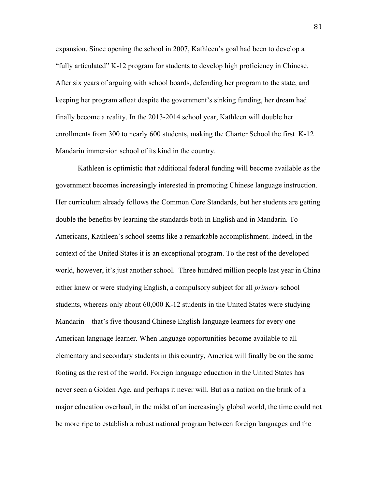expansion. Since opening the school in 2007, Kathleen's goal had been to develop a "fully articulated" K-12 program for students to develop high proficiency in Chinese. After six years of arguing with school boards, defending her program to the state, and keeping her program afloat despite the government's sinking funding, her dream had finally become a reality. In the 2013-2014 school year, Kathleen will double her enrollments from 300 to nearly 600 students, making the Charter School the first K-12 Mandarin immersion school of its kind in the country.

Kathleen is optimistic that additional federal funding will become available as the government becomes increasingly interested in promoting Chinese language instruction. Her curriculum already follows the Common Core Standards, but her students are getting double the benefits by learning the standards both in English and in Mandarin. To Americans, Kathleen's school seems like a remarkable accomplishment. Indeed, in the context of the United States it is an exceptional program. To the rest of the developed world, however, it's just another school. Three hundred million people last year in China either knew or were studying English, a compulsory subject for all *primary* school students, whereas only about 60,000 K-12 students in the United States were studying Mandarin – that's five thousand Chinese English language learners for every one American language learner. When language opportunities become available to all elementary and secondary students in this country, America will finally be on the same footing as the rest of the world. Foreign language education in the United States has never seen a Golden Age, and perhaps it never will. But as a nation on the brink of a major education overhaul, in the midst of an increasingly global world, the time could not be more ripe to establish a robust national program between foreign languages and the